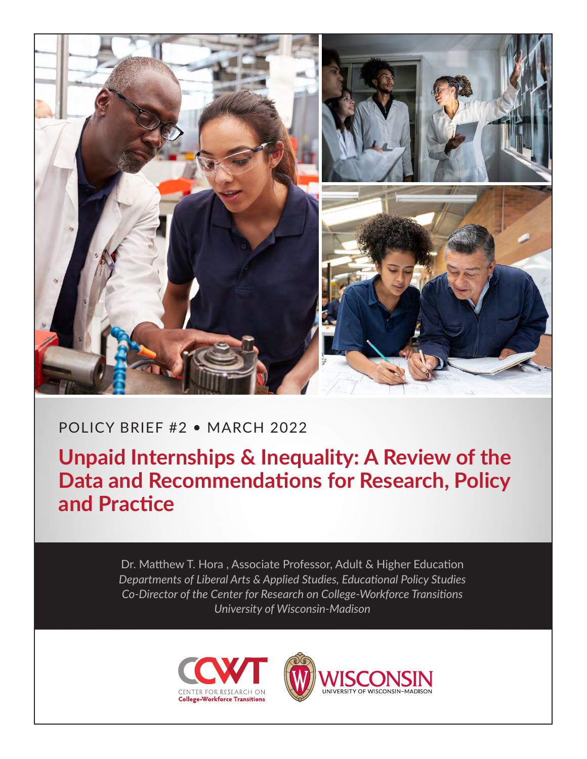

# POLICY BRIEF #2 • MARCH 2022

**Unpaid Internships & Inequality: A Review of the Data and Recommendations for Research, Policy and Practice**

> Dr. Matthew T. Hora , Associate Professor, Adult & Higher Education *Departments of Liberal Arts & Applied Studies, Educational Policy Studies Co-Director of the Center for Research on College-Workforce Transitions University of Wisconsin-Madison*



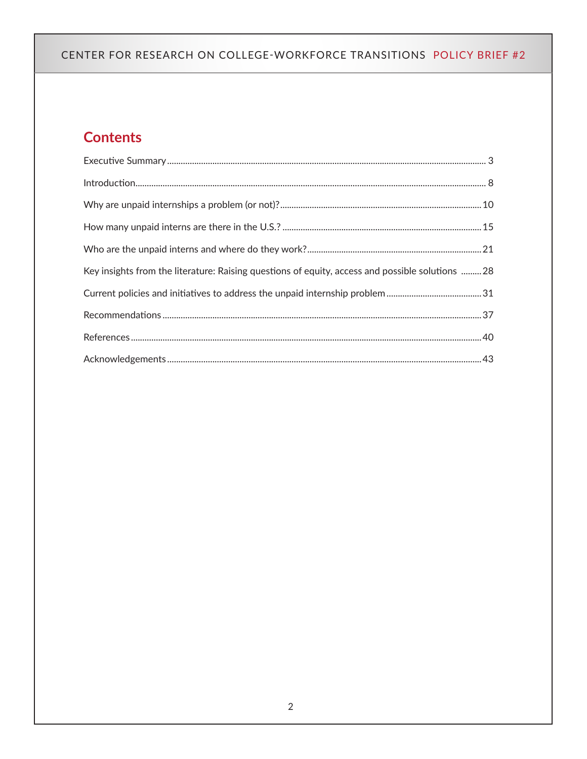# **Contents**

| Key insights from the literature: Raising questions of equity, access and possible solutions  28 |
|--------------------------------------------------------------------------------------------------|
|                                                                                                  |
|                                                                                                  |
|                                                                                                  |
|                                                                                                  |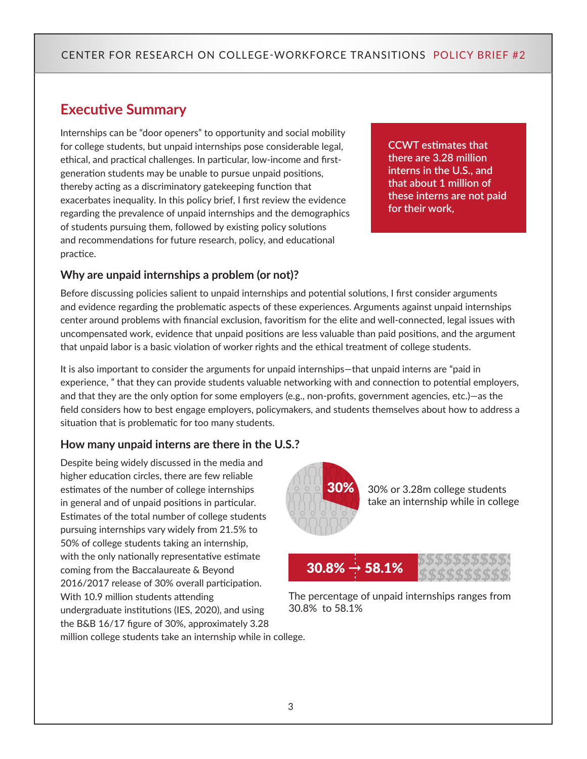## <span id="page-2-0"></span>**Executive Summary**

Internships can be "door openers" to opportunity and social mobility for college students, but unpaid internships pose considerable legal, ethical, and practical challenges. In particular, low-income and firstgeneration students may be unable to pursue unpaid positions, thereby acting as a discriminatory gatekeeping function that exacerbates inequality. In this policy brief, I first review the evidence regarding the prevalence of unpaid internships and the demographics of students pursuing them, followed by existing policy solutions and recommendations for future research, policy, and educational practice.

**CCWT estimates that there are 3.28 million interns in the U.S., and that about 1 million of these interns are not paid for their work,**

#### **Why are unpaid internships a problem (or not)?**

Before discussing policies salient to unpaid internships and potential solutions, I first consider arguments and evidence regarding the problematic aspects of these experiences. Arguments against unpaid internships center around problems with financial exclusion, favoritism for the elite and well-connected, legal issues with uncompensated work, evidence that unpaid positions are less valuable than paid positions, and the argument that unpaid labor is a basic violation of worker rights and the ethical treatment of college students.

It is also important to consider the arguments for unpaid internships—that unpaid interns are "paid in experience, " that they can provide students valuable networking with and connection to potential employers, and that they are the only option for some employers (e.g., non-profits, government agencies, etc.)—as the field considers how to best engage employers, policymakers, and students themselves about how to address a situation that is problematic for too many students.

#### **How many unpaid interns are there in the U.S.?**

Despite being widely discussed in the media and higher education circles, there are few reliable estimates of the number of college internships in general and of unpaid positions in particular. Estimates of the total number of college students pursuing internships vary widely from 21.5% to 50% of college students taking an internship, with the only nationally representative estimate coming from the Baccalaureate & Beyond 2016/2017 release of 30% overall participation. With 10.9 million students attending undergraduate institutions (IES, 2020), and using the B&B 16/17 figure of 30%, approximately 3.28 million college students take an internship while in college.



30% or 3.28m college students take an internship while in college



The percentage of unpaid internships ranges from 30.8% to 58.1%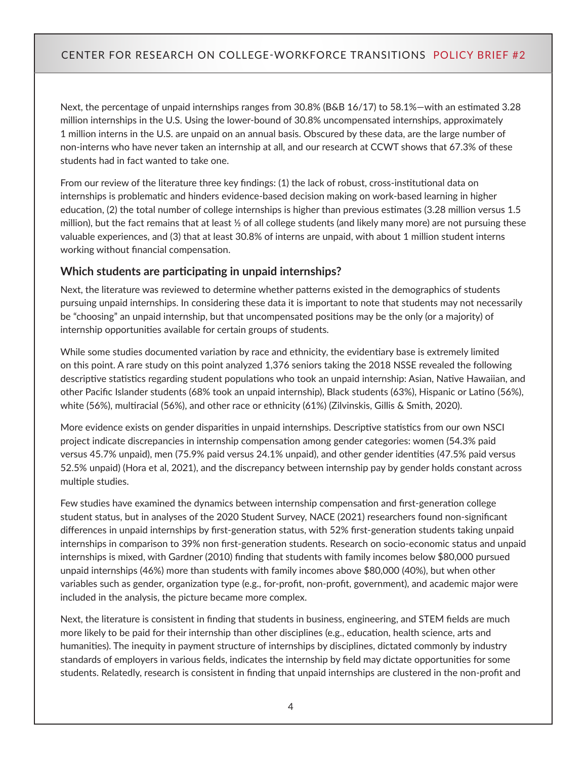Next, the percentage of unpaid internships ranges from 30.8% (B&B 16/17) to 58.1%—with an estimated 3.28 million internships in the U.S. Using the lower-bound of 30.8% uncompensated internships, approximately 1 million interns in the U.S. are unpaid on an annual basis. Obscured by these data, are the large number of non-interns who have never taken an internship at all, and our research at CCWT shows that 67.3% of these students had in fact wanted to take one.

From our review of the literature three key findings: (1) the lack of robust, cross-institutional data on internships is problematic and hinders evidence-based decision making on work-based learning in higher education, (2) the total number of college internships is higher than previous estimates (3.28 million versus 1.5 million), but the fact remains that at least  $\frac{1}{2}$  of all college students (and likely many more) are not pursuing these valuable experiences, and (3) that at least 30.8% of interns are unpaid, with about 1 million student interns working without financial compensation.

#### **Which students are participating in unpaid internships?**

Next, the literature was reviewed to determine whether patterns existed in the demographics of students pursuing unpaid internships. In considering these data it is important to note that students may not necessarily be "choosing" an unpaid internship, but that uncompensated positions may be the only (or a majority) of internship opportunities available for certain groups of students.

While some studies documented variation by race and ethnicity, the evidentiary base is extremely limited on this point. A rare study on this point analyzed 1,376 seniors taking the 2018 NSSE revealed the following descriptive statistics regarding student populations who took an unpaid internship: Asian, Native Hawaiian, and other Pacific Islander students (68% took an unpaid internship), Black students (63%), Hispanic or Latino (56%), white (56%), multiracial (56%), and other race or ethnicity (61%) (Zilvinskis, Gillis & Smith, 2020).

More evidence exists on gender disparities in unpaid internships. Descriptive statistics from our own NSCI project indicate discrepancies in internship compensation among gender categories: women (54.3% paid versus 45.7% unpaid), men (75.9% paid versus 24.1% unpaid), and other gender identities (47.5% paid versus 52.5% unpaid) (Hora et al, 2021), and the discrepancy between internship pay by gender holds constant across multiple studies.

Few studies have examined the dynamics between internship compensation and first-generation college student status, but in analyses of the 2020 Student Survey, NACE (2021) researchers found non-significant differences in unpaid internships by first-generation status, with 52% first-generation students taking unpaid internships in comparison to 39% non first-generation students. Research on socio-economic status and unpaid internships is mixed, with Gardner (2010) finding that students with family incomes below \$80,000 pursued unpaid internships (46%) more than students with family incomes above \$80,000 (40%), but when other variables such as gender, organization type (e.g., for-profit, non-profit, government), and academic major were included in the analysis, the picture became more complex.

Next, the literature is consistent in finding that students in business, engineering, and STEM fields are much more likely to be paid for their internship than other disciplines (e.g., education, health science, arts and humanities). The inequity in payment structure of internships by disciplines, dictated commonly by industry standards of employers in various fields, indicates the internship by field may dictate opportunities for some students. Relatedly, research is consistent in finding that unpaid internships are clustered in the non-profit and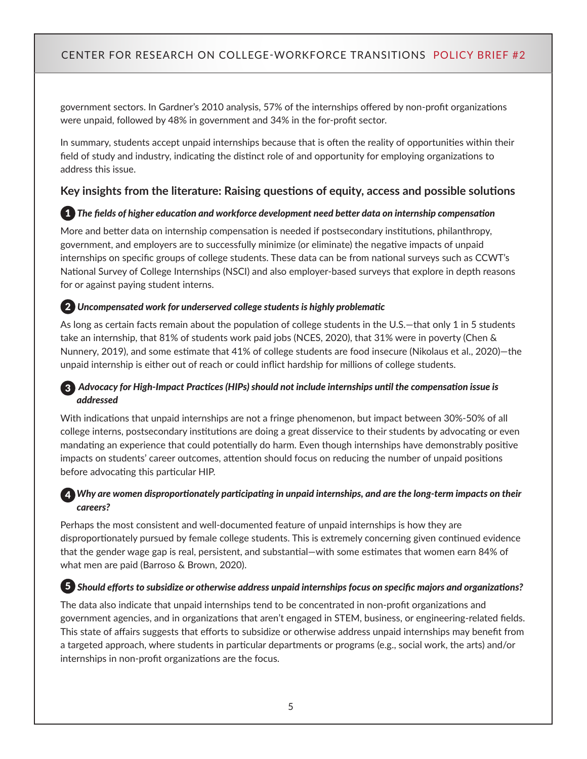government sectors. In Gardner's 2010 analysis, 57% of the internships offered by non-profit organizations were unpaid, followed by 48% in government and 34% in the for-profit sector.

In summary, students accept unpaid internships because that is often the reality of opportunities within their field of study and industry, indicating the distinct role of and opportunity for employing organizations to address this issue.

#### **Key insights from the literature: Raising questions of equity, access and possible solutions**

#### 1 *The fields of higher education and workforce development need better data on internship compensation*

More and better data on internship compensation is needed if postsecondary institutions, philanthropy, government, and employers are to successfully minimize (or eliminate) the negative impacts of unpaid internships on specific groups of college students. These data can be from national surveys such as CCWT's National Survey of College Internships (NSCI) and also employer-based surveys that explore in depth reasons for or against paying student interns.

#### 2 *Uncompensated work for underserved college students is highly problematic*

As long as certain facts remain about the population of college students in the U.S.—that only 1 in 5 students take an internship, that 81% of students work paid jobs (NCES, 2020), that 31% were in poverty (Chen & Nunnery, 2019), and some estimate that 41% of college students are food insecure (Nikolaus et al., 2020)—the unpaid internship is either out of reach or could inflict hardship for millions of college students.

#### 3 *Advocacy for High-Impact Practices (HIPs) should not include internships until the compensation issue is addressed*

With indications that unpaid internships are not a fringe phenomenon, but impact between 30%-50% of all college interns, postsecondary institutions are doing a great disservice to their students by advocating or even mandating an experience that could potentially do harm. Even though internships have demonstrably positive impacts on students' career outcomes, attention should focus on reducing the number of unpaid positions before advocating this particular HIP.

#### 4 *Why are women disproportionately participating in unpaid internships, and are the long-term impacts on their careers?*

Perhaps the most consistent and well-documented feature of unpaid internships is how they are disproportionately pursued by female college students. This is extremely concerning given continued evidence that the gender wage gap is real, persistent, and substantial—with some estimates that women earn 84% of what men are paid (Barroso & Brown, 2020).

#### 5 *Should efforts to subsidize or otherwise address unpaid internships focus on specific majors and organizations?*

The data also indicate that unpaid internships tend to be concentrated in non-profit organizations and government agencies, and in organizations that aren't engaged in STEM, business, or engineering-related fields. This state of affairs suggests that efforts to subsidize or otherwise address unpaid internships may benefit from a targeted approach, where students in particular departments or programs (e.g., social work, the arts) and/or internships in non-profit organizations are the focus.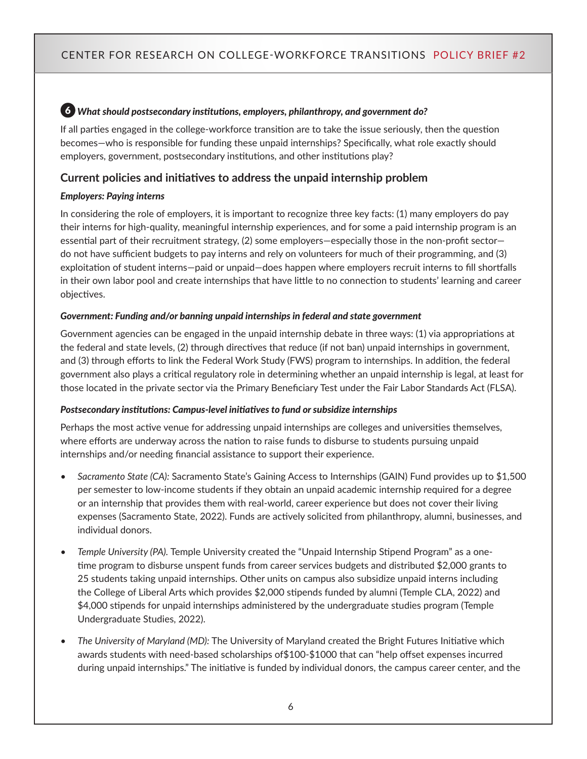#### 6 *What should postsecondary institutions, employers, philanthropy, and government do?*

If all parties engaged in the college-workforce transition are to take the issue seriously, then the question becomes—who is responsible for funding these unpaid internships? Specifically, what role exactly should employers, government, postsecondary institutions, and other institutions play?

#### **Current policies and initiatives to address the unpaid internship problem**

#### *Employers: Paying interns*

In considering the role of employers, it is important to recognize three key facts: (1) many employers do pay their interns for high-quality, meaningful internship experiences, and for some a paid internship program is an essential part of their recruitment strategy, (2) some employers—especially those in the non-profit sector do not have sufficient budgets to pay interns and rely on volunteers for much of their programming, and (3) exploitation of student interns—paid or unpaid—does happen where employers recruit interns to fill shortfalls in their own labor pool and create internships that have little to no connection to students' learning and career objectives.

#### *Government: Funding and/or banning unpaid internships in federal and state government*

Government agencies can be engaged in the unpaid internship debate in three ways: (1) via appropriations at the federal and state levels, (2) through directives that reduce (if not ban) unpaid internships in government, and (3) through efforts to link the Federal Work Study (FWS) program to internships. In addition, the federal government also plays a critical regulatory role in determining whether an unpaid internship is legal, at least for those located in the private sector via the Primary Beneficiary Test under the Fair Labor Standards Act (FLSA).

#### *Postsecondary institutions: Campus-level initiatives to fund or subsidize internships*

Perhaps the most active venue for addressing unpaid internships are colleges and universities themselves, where efforts are underway across the nation to raise funds to disburse to students pursuing unpaid internships and/or needing financial assistance to support their experience.

- *• Sacramento State (CA):* Sacramento State's Gaining Access to Internships (GAIN) Fund provides up to \$1,500 per semester to low-income students if they obtain an unpaid academic internship required for a degree or an internship that provides them with real-world, career experience but does not cover their living expenses (Sacramento State, 2022). Funds are actively solicited from philanthropy, alumni, businesses, and individual donors.
- *• Temple University (PA).* Temple University created the "Unpaid Internship Stipend Program" as a onetime program to disburse unspent funds from career services budgets and distributed \$2,000 grants to 25 students taking unpaid internships. Other units on campus also subsidize unpaid interns including the College of Liberal Arts which provides \$2,000 stipends funded by alumni (Temple CLA, 2022) and \$4,000 stipends for unpaid internships administered by the undergraduate studies program (Temple Undergraduate Studies, 2022).
- *• The University of Maryland (MD):* The University of Maryland created the Bright Futures Initiative which awards students with need-based scholarships of\$100-\$1000 that can "help offset expenses incurred during unpaid internships." The initiative is funded by individual donors, the campus career center, and the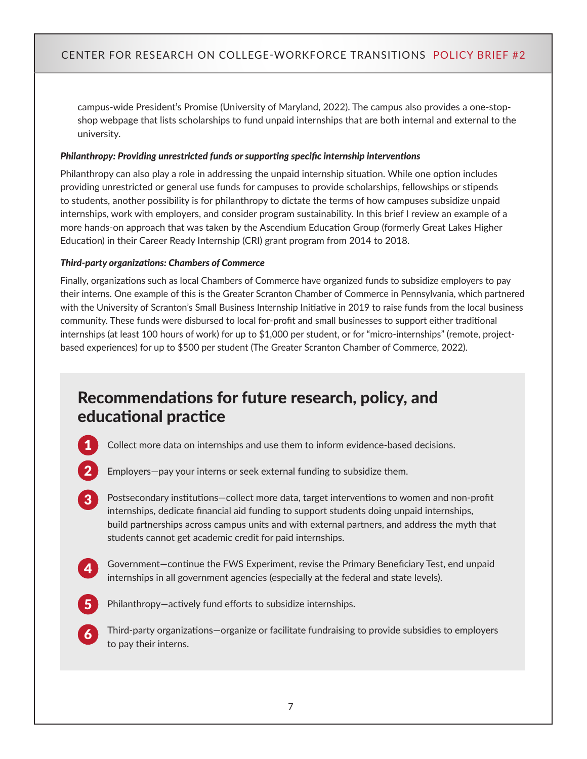campus-wide President's Promise (University of Maryland, 2022). The campus also provides a one-stopshop webpage that lists scholarships to fund unpaid internships that are both internal and external to the university.

#### *Philanthropy: Providing unrestricted funds or supporting specific internship interventions*

Philanthropy can also play a role in addressing the unpaid internship situation. While one option includes providing unrestricted or general use funds for campuses to provide scholarships, fellowships or stipends to students, another possibility is for philanthropy to dictate the terms of how campuses subsidize unpaid internships, work with employers, and consider program sustainability. In this brief I review an example of a more hands-on approach that was taken by the Ascendium Education Group (formerly Great Lakes Higher Education) in their Career Ready Internship (CRI) grant program from 2014 to 2018.

#### *Third-party organizations: Chambers of Commerce*

Finally, organizations such as local Chambers of Commerce have organized funds to subsidize employers to pay their interns. One example of this is the Greater Scranton Chamber of Commerce in Pennsylvania, which partnered with the University of Scranton's Small Business Internship Initiative in 2019 to raise funds from the local business community. These funds were disbursed to local for-profit and small businesses to support either traditional internships (at least 100 hours of work) for up to \$1,000 per student, or for "micro-internships" (remote, projectbased experiences) for up to \$500 per student (The Greater Scranton Chamber of Commerce, 2022).

# Recommendations for future research, policy, and educational practice



- Employers—pay your interns or seek external funding to subsidize them.
- 3 Postsecondary institutions—collect more data, target interventions to women and non-profit internships, dedicate financial aid funding to support students doing unpaid internships, build partnerships across campus units and with external partners, and address the myth that students cannot get academic credit for paid internships.
- 

Government-continue the FWS Experiment, revise the Primary Beneficiary Test, end unpaid internships in all government agencies (especially at the federal and state levels).



Philanthropy—actively fund efforts to subsidize internships.



6 Third-party organizations—organize or facilitate fundraising to provide subsidies to employers to pay their interns.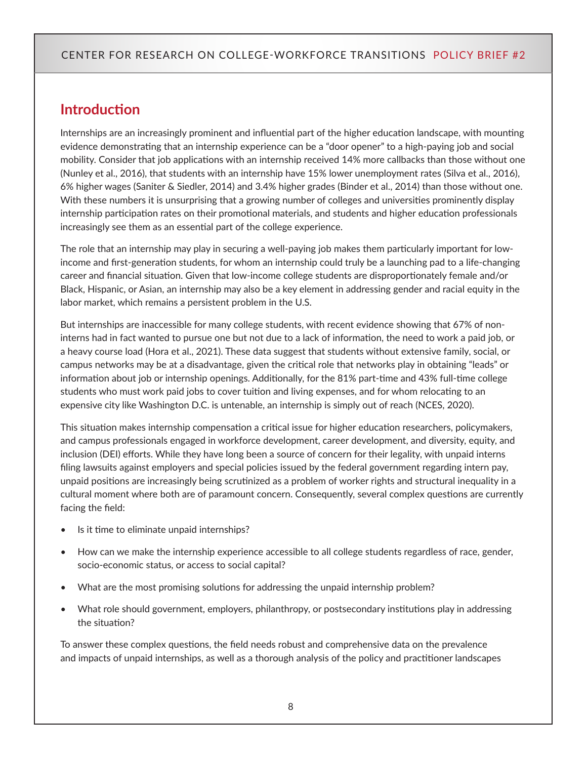## <span id="page-7-0"></span>**Introduction**

Internships are an increasingly prominent and influential part of the higher education landscape, with mounting evidence demonstrating that an internship experience can be a "door opener" to a high-paying job and social mobility. Consider that job applications with an internship received 14% more callbacks than those without one (Nunley et al., 2016), that students with an internship have 15% lower unemployment rates (Silva et al., 2016), 6% higher wages (Saniter & Siedler, 2014) and 3.4% higher grades (Binder et al., 2014) than those without one. With these numbers it is unsurprising that a growing number of colleges and universities prominently display internship participation rates on their promotional materials, and students and higher education professionals increasingly see them as an essential part of the college experience.

The role that an internship may play in securing a well-paying job makes them particularly important for lowincome and first-generation students, for whom an internship could truly be a launching pad to a life-changing career and financial situation. Given that low-income college students are disproportionately female and/or Black, Hispanic, or Asian, an internship may also be a key element in addressing gender and racial equity in the labor market, which remains a persistent problem in the U.S.

But internships are inaccessible for many college students, with recent evidence showing that 67% of noninterns had in fact wanted to pursue one but not due to a lack of information, the need to work a paid job, or a heavy course load (Hora et al., 2021). These data suggest that students without extensive family, social, or campus networks may be at a disadvantage, given the critical role that networks play in obtaining "leads" or information about job or internship openings. Additionally, for the 81% part-time and 43% full-time college students who must work paid jobs to cover tuition and living expenses, and for whom relocating to an expensive city like Washington D.C. is untenable, an internship is simply out of reach (NCES, 2020).

This situation makes internship compensation a critical issue for higher education researchers, policymakers, and campus professionals engaged in workforce development, career development, and diversity, equity, and inclusion (DEI) efforts. While they have long been a source of concern for their legality, with unpaid interns filing lawsuits against employers and special policies issued by the federal government regarding intern pay, unpaid positions are increasingly being scrutinized as a problem of worker rights and structural inequality in a cultural moment where both are of paramount concern. Consequently, several complex questions are currently facing the field:

- Is it time to eliminate unpaid internships?
- How can we make the internship experience accessible to all college students regardless of race, gender, socio-economic status, or access to social capital?
- What are the most promising solutions for addressing the unpaid internship problem?
- What role should government, employers, philanthropy, or postsecondary institutions play in addressing the situation?

To answer these complex questions, the field needs robust and comprehensive data on the prevalence and impacts of unpaid internships, as well as a thorough analysis of the policy and practitioner landscapes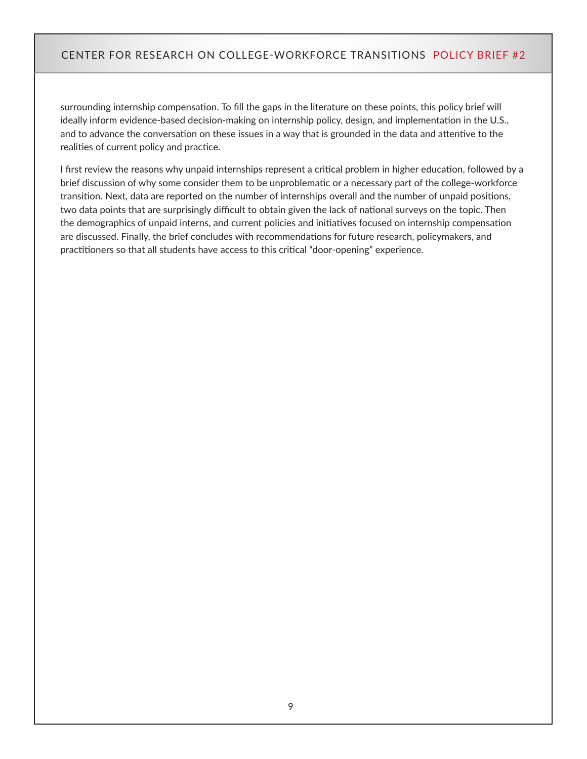surrounding internship compensation. To fill the gaps in the literature on these points, this policy brief will ideally inform evidence-based decision-making on internship policy, design, and implementation in the U.S., and to advance the conversation on these issues in a way that is grounded in the data and attentive to the realities of current policy and practice.

I first review the reasons why unpaid internships represent a critical problem in higher education, followed by a brief discussion of why some consider them to be unproblematic or a necessary part of the college-workforce transition. Next, data are reported on the number of internships overall and the number of unpaid positions, two data points that are surprisingly difficult to obtain given the lack of national surveys on the topic. Then the demographics of unpaid interns, and current policies and initiatives focused on internship compensation are discussed. Finally, the brief concludes with recommendations for future research, policymakers, and practitioners so that all students have access to this critical "door-opening" experience.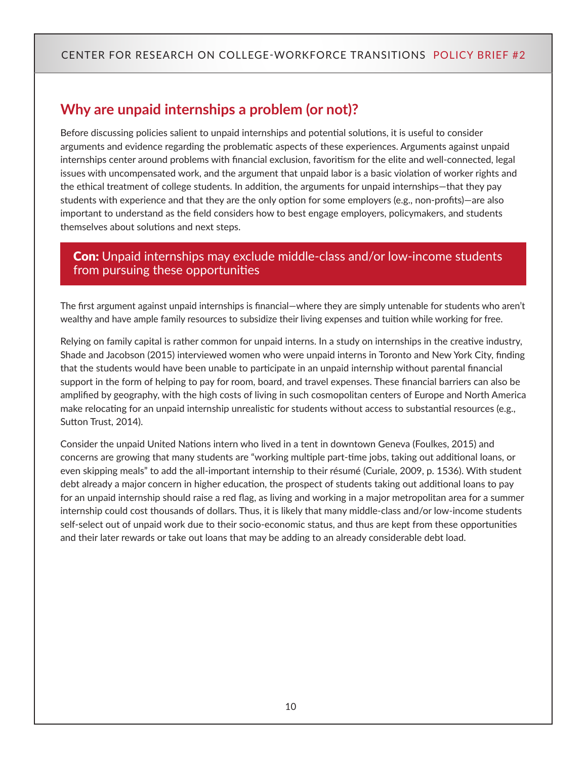# <span id="page-9-0"></span>**Why are unpaid internships a problem (or not)?**

Before discussing policies salient to unpaid internships and potential solutions, it is useful to consider arguments and evidence regarding the problematic aspects of these experiences. Arguments against unpaid internships center around problems with financial exclusion, favoritism for the elite and well-connected, legal issues with uncompensated work, and the argument that unpaid labor is a basic violation of worker rights and the ethical treatment of college students. In addition, the arguments for unpaid internships—that they pay students with experience and that they are the only option for some employers (e.g., non-profits)—are also important to understand as the field considers how to best engage employers, policymakers, and students themselves about solutions and next steps.

## **Con:** Unpaid internships may exclude middle-class and/or low-income students from pursuing these opportunities

The first argument against unpaid internships is financial—where they are simply untenable for students who aren't wealthy and have ample family resources to subsidize their living expenses and tuition while working for free.

Relying on family capital is rather common for unpaid interns. In a study on internships in the creative industry, Shade and Jacobson (2015) interviewed women who were unpaid interns in Toronto and New York City, finding that the students would have been unable to participate in an unpaid internship without parental financial support in the form of helping to pay for room, board, and travel expenses. These financial barriers can also be amplified by geography, with the high costs of living in such cosmopolitan centers of Europe and North America make relocating for an unpaid internship unrealistic for students without access to substantial resources (e.g., Sutton Trust, 2014).

Consider the unpaid United Nations intern who lived in a tent in downtown Geneva (Foulkes, 2015) and concerns are growing that many students are "working multiple part-time jobs, taking out additional loans, or even skipping meals" to add the all-important internship to their résumé (Curiale, 2009, p. 1536). With student debt already a major concern in higher education, the prospect of students taking out additional loans to pay for an unpaid internship should raise a red flag, as living and working in a major metropolitan area for a summer internship could cost thousands of dollars. Thus, it is likely that many middle-class and/or low-income students self-select out of unpaid work due to their socio-economic status, and thus are kept from these opportunities and their later rewards or take out loans that may be adding to an already considerable debt load.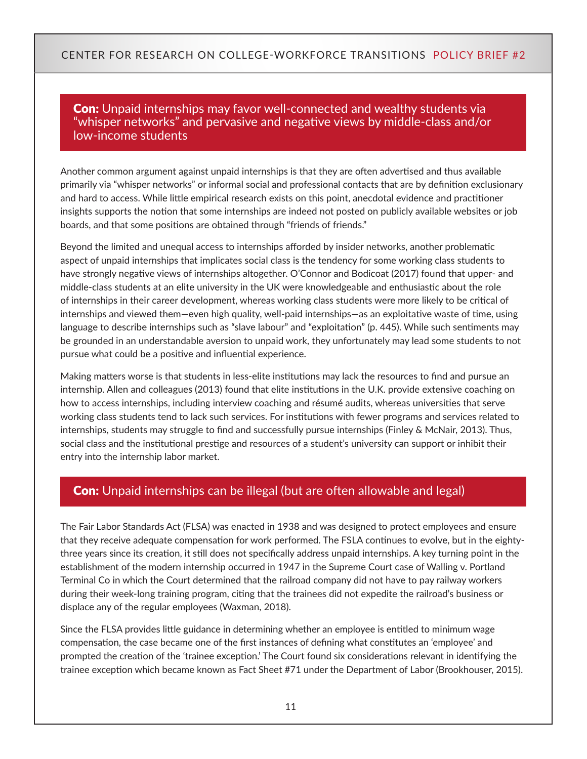## **Con:** Unpaid internships may favor well-connected and wealthy students via "whisper networks" and pervasive and negative views by middle-class and/or low-income students

Another common argument against unpaid internships is that they are often advertised and thus available primarily via "whisper networks" or informal social and professional contacts that are by definition exclusionary and hard to access. While little empirical research exists on this point, anecdotal evidence and practitioner insights supports the notion that some internships are indeed not posted on publicly available websites or job boards, and that some positions are obtained through "friends of friends."

Beyond the limited and unequal access to internships afforded by insider networks, another problematic aspect of unpaid internships that implicates social class is the tendency for some working class students to have strongly negative views of internships altogether. O'Connor and Bodicoat (2017) found that upper- and middle-class students at an elite university in the UK were knowledgeable and enthusiastic about the role of internships in their career development, whereas working class students were more likely to be critical of internships and viewed them—even high quality, well-paid internships—as an exploitative waste of time, using language to describe internships such as "slave labour" and "exploitation" (p. 445). While such sentiments may be grounded in an understandable aversion to unpaid work, they unfortunately may lead some students to not pursue what could be a positive and influential experience.

Making matters worse is that students in less-elite institutions may lack the resources to find and pursue an internship. Allen and colleagues (2013) found that elite institutions in the U.K. provide extensive coaching on how to access internships, including interview coaching and résumé audits, whereas universities that serve working class students tend to lack such services. For institutions with fewer programs and services related to internships, students may struggle to find and successfully pursue internships (Finley & McNair, 2013). Thus, social class and the institutional prestige and resources of a student's university can support or inhibit their entry into the internship labor market.

## **Con:** Unpaid internships can be illegal (but are often allowable and legal)

The Fair Labor Standards Act (FLSA) was enacted in 1938 and was designed to protect employees and ensure that they receive adequate compensation for work performed. The FSLA continues to evolve, but in the eightythree years since its creation, it still does not specifically address unpaid internships. A key turning point in the establishment of the modern internship occurred in 1947 in the Supreme Court case of Walling v. Portland Terminal Co in which the Court determined that the railroad company did not have to pay railway workers during their week-long training program, citing that the trainees did not expedite the railroad's business or displace any of the regular employees (Waxman, 2018).

Since the FLSA provides little guidance in determining whether an employee is entitled to minimum wage compensation, the case became one of the first instances of defining what constitutes an 'employee' and prompted the creation of the 'trainee exception.' The Court found six considerations relevant in identifying the trainee exception which became known as Fact Sheet #71 under the Department of Labor (Brookhouser, 2015).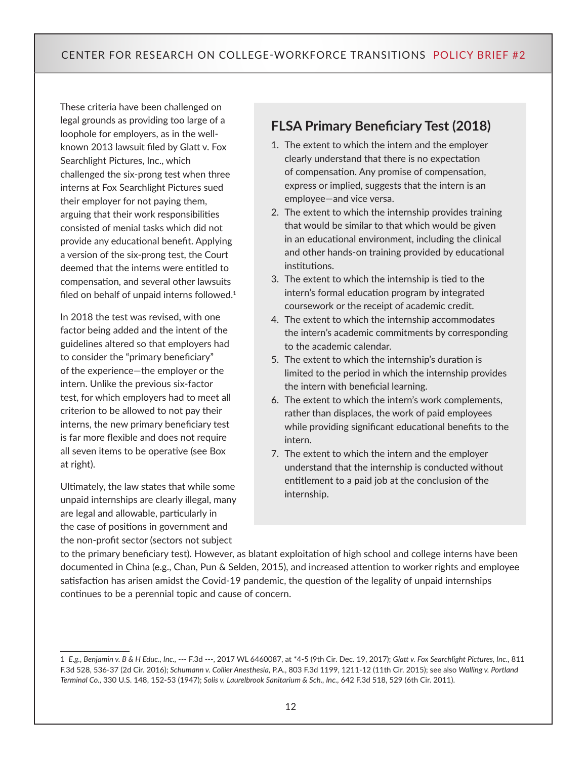These criteria have been challenged on legal grounds as providing too large of a loophole for employers, as in the wellknown 2013 lawsuit filed by Glatt v. Fox Searchlight Pictures, Inc., which challenged the six-prong test when three interns at Fox Searchlight Pictures sued their employer for not paying them, arguing that their work responsibilities consisted of menial tasks which did not provide any educational benefit. Applying a version of the six-prong test, the Court deemed that the interns were entitled to compensation, and several other lawsuits filed on behalf of unpaid interns followed. $1$ 

In 2018 the test was revised, with one factor being added and the intent of the guidelines altered so that employers had to consider the "primary beneficiary" of the experience—the employer or the intern. Unlike the previous six-factor test, for which employers had to meet all criterion to be allowed to not pay their interns, the new primary beneficiary test is far more flexible and does not require all seven items to be operative (see Box at right).

Ultimately, the law states that while some unpaid internships are clearly illegal, many are legal and allowable, particularly in the case of positions in government and the non-profit sector (sectors not subject

## **FLSA Primary Beneficiary Test (2018)**

- 1. The extent to which the intern and the employer clearly understand that there is no expectation of compensation. Any promise of compensation, express or implied, suggests that the intern is an employee—and vice versa.
- 2. The extent to which the internship provides training that would be similar to that which would be given in an educational environment, including the clinical and other hands-on training provided by educational institutions.
- 3. The extent to which the internship is tied to the intern's formal education program by integrated coursework or the receipt of academic credit.
- 4. The extent to which the internship accommodates the intern's academic commitments by corresponding to the academic calendar.
- 5. The extent to which the internship's duration is limited to the period in which the internship provides the intern with beneficial learning.
- 6. The extent to which the intern's work complements, rather than displaces, the work of paid employees while providing significant educational benefits to the intern.
- 7. The extent to which the intern and the employer understand that the internship is conducted without entitlement to a paid job at the conclusion of the internship.

to the primary beneficiary test). However, as blatant exploitation of high school and college interns have been documented in China (e.g., Chan, Pun & Selden, 2015), and increased attention to worker rights and employee satisfaction has arisen amidst the Covid-19 pandemic, the question of the legality of unpaid internships continues to be a perennial topic and cause of concern.

<sup>1</sup> *E.g., Benjamin v. B & H Educ., Inc.,* --- F.3d ---, 2017 WL 6460087, at \*4-5 (9th Cir. Dec. 19, 2017); *Glatt v. Fox Searchlight Pictures, Inc.,* 811 F.3d 528, 536-37 (2d Cir. 2016); *Schumann v. Collier Anesthesia,* P.A., 803 F.3d 1199, 1211-12 (11th Cir. 2015); see also *Walling v. Portland Terminal Co.,* 330 U.S. 148, 152-53 (1947); *Solis v. Laurelbrook Sanitarium & Sch., Inc.,* 642 F.3d 518, 529 (6th Cir. 2011).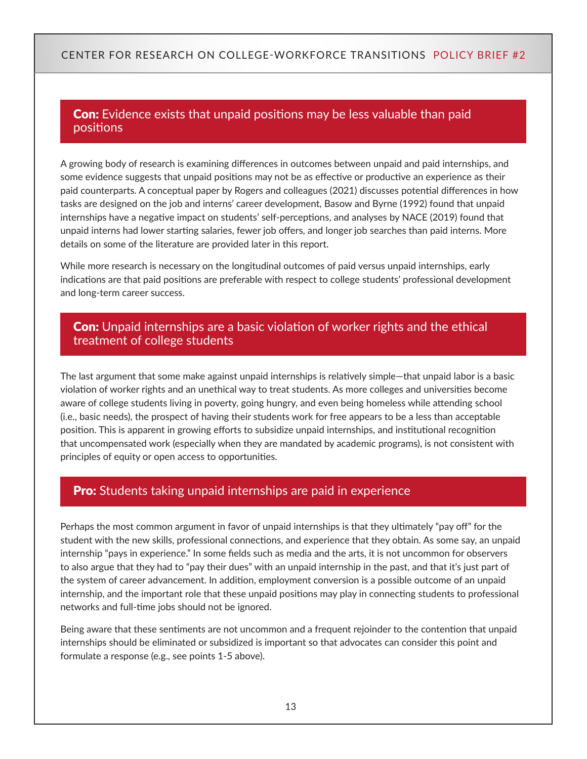## **Con:** Evidence exists that unpaid positions may be less valuable than paid positions

A growing body of research is examining differences in outcomes between unpaid and paid internships, and some evidence suggests that unpaid positions may not be as effective or productive an experience as their paid counterparts. A conceptual paper by Rogers and colleagues (2021) discusses potential differences in how tasks are designed on the job and interns' career development, Basow and Byrne (1992) found that unpaid internships have a negative impact on students' self-perceptions, and analyses by NACE (2019) found that unpaid interns had lower starting salaries, fewer job offers, and longer job searches than paid interns. More details on some of the literature are provided later in this report.

While more research is necessary on the longitudinal outcomes of paid versus unpaid internships, early indications are that paid positions are preferable with respect to college students' professional development and long-term career success.

## **Con:** Unpaid internships are a basic violation of worker rights and the ethical treatment of college students

The last argument that some make against unpaid internships is relatively simple—that unpaid labor is a basic violation of worker rights and an unethical way to treat students. As more colleges and universities become aware of college students living in poverty, going hungry, and even being homeless while attending school (i.e., basic needs), the prospect of having their students work for free appears to be a less than acceptable position. This is apparent in growing efforts to subsidize unpaid internships, and institutional recognition that uncompensated work (especially when they are mandated by academic programs), is not consistent with principles of equity or open access to opportunities.

## **Pro:** Students taking unpaid internships are paid in experience

Perhaps the most common argument in favor of unpaid internships is that they ultimately "pay off" for the student with the new skills, professional connections, and experience that they obtain. As some say, an unpaid internship "pays in experience." In some fields such as media and the arts, it is not uncommon for observers to also argue that they had to "pay their dues" with an unpaid internship in the past, and that it's just part of the system of career advancement. In addition, employment conversion is a possible outcome of an unpaid internship, and the important role that these unpaid positions may play in connecting students to professional networks and full-time jobs should not be ignored.

Being aware that these sentiments are not uncommon and a frequent rejoinder to the contention that unpaid internships should be eliminated or subsidized is important so that advocates can consider this point and formulate a response (e.g., see points 1-5 above).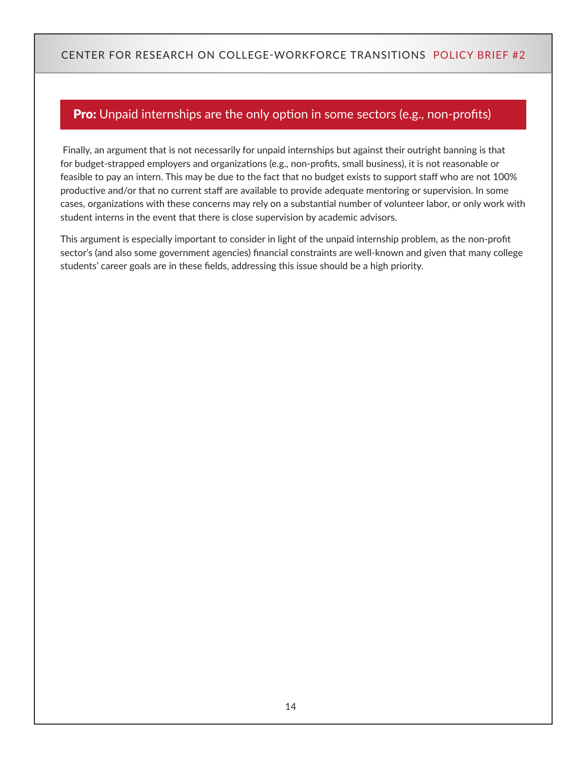## **Pro:** Unpaid internships are the only option in some sectors (e.g., non-profits)

 Finally, an argument that is not necessarily for unpaid internships but against their outright banning is that for budget-strapped employers and organizations (e.g., non-profits, small business), it is not reasonable or feasible to pay an intern. This may be due to the fact that no budget exists to support staff who are not 100% productive and/or that no current staff are available to provide adequate mentoring or supervision. In some cases, organizations with these concerns may rely on a substantial number of volunteer labor, or only work with student interns in the event that there is close supervision by academic advisors.

This argument is especially important to consider in light of the unpaid internship problem, as the non-profit sector's (and also some government agencies) financial constraints are well-known and given that many college students' career goals are in these fields, addressing this issue should be a high priority.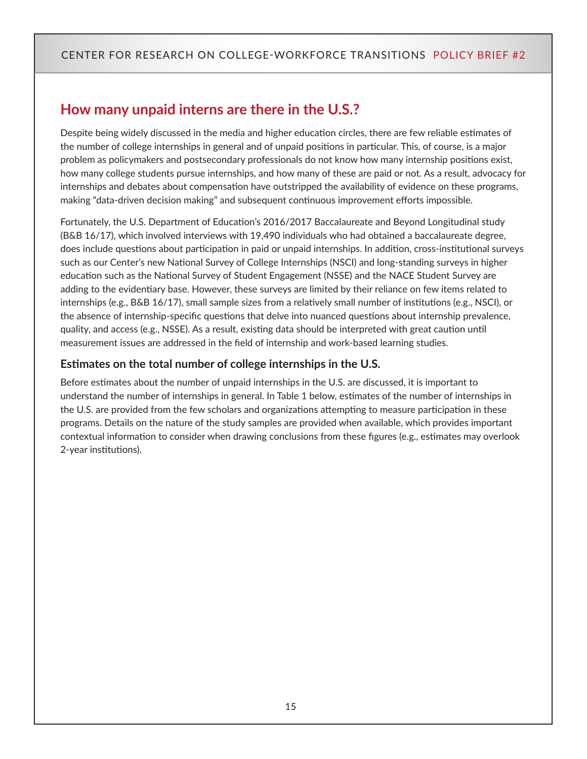# <span id="page-14-0"></span>**How many unpaid interns are there in the U.S.?**

Despite being widely discussed in the media and higher education circles, there are few reliable estimates of the number of college internships in general and of unpaid positions in particular. This, of course, is a major problem as policymakers and postsecondary professionals do not know how many internship positions exist, how many college students pursue internships, and how many of these are paid or not. As a result, advocacy for internships and debates about compensation have outstripped the availability of evidence on these programs, making "data-driven decision making" and subsequent continuous improvement efforts impossible.

Fortunately, the U.S. Department of Education's 2016/2017 Baccalaureate and Beyond Longitudinal study (B&B 16/17), which involved interviews with 19,490 individuals who had obtained a baccalaureate degree, does include questions about participation in paid or unpaid internships. In addition, cross-institutional surveys such as our Center's new National Survey of College Internships (NSCI) and long-standing surveys in higher education such as the National Survey of Student Engagement (NSSE) and the NACE Student Survey are adding to the evidentiary base. However, these surveys are limited by their reliance on few items related to internships (e.g., B&B 16/17), small sample sizes from a relatively small number of institutions (e.g., NSCI), or the absence of internship-specific questions that delve into nuanced questions about internship prevalence, quality, and access (e.g., NSSE). As a result, existing data should be interpreted with great caution until measurement issues are addressed in the field of internship and work-based learning studies.

### **Estimates on the total number of college internships in the U.S.**

Before estimates about the number of unpaid internships in the U.S. are discussed, it is important to understand the number of internships in general. In Table 1 below, estimates of the number of internships in the U.S. are provided from the few scholars and organizations attempting to measure participation in these programs. Details on the nature of the study samples are provided when available, which provides important contextual information to consider when drawing conclusions from these figures (e.g., estimates may overlook 2-year institutions).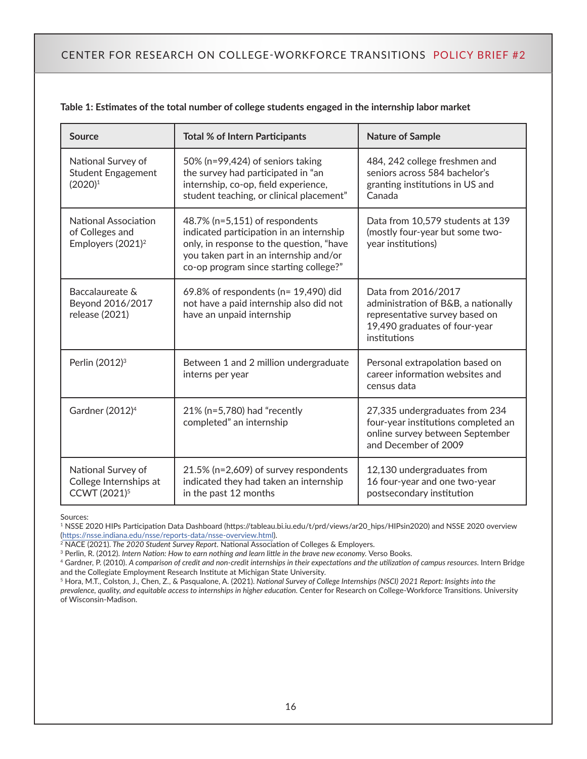| <b>Source</b>                                                                   | <b>Total % of Intern Participants</b>                                                                                                                                                                      | <b>Nature of Sample</b>                                                                                                                       |
|---------------------------------------------------------------------------------|------------------------------------------------------------------------------------------------------------------------------------------------------------------------------------------------------------|-----------------------------------------------------------------------------------------------------------------------------------------------|
| National Survey of<br><b>Student Engagement</b><br>$(2020)^1$                   | 50% (n=99,424) of seniors taking<br>the survey had participated in "an<br>internship, co-op, field experience,<br>student teaching, or clinical placement"                                                 | 484, 242 college freshmen and<br>seniors across 584 bachelor's<br>granting institutions in US and<br>Canada                                   |
| <b>National Association</b><br>of Colleges and<br>Employers (2021) <sup>2</sup> | 48.7% (n=5,151) of respondents<br>indicated participation in an internship<br>only, in response to the question, "have<br>you taken part in an internship and/or<br>co-op program since starting college?" | Data from 10,579 students at 139<br>(mostly four-year but some two-<br>year institutions)                                                     |
| Baccalaureate &<br>Beyond 2016/2017<br>release (2021)                           | 69.8% of respondents (n= 19,490) did<br>not have a paid internship also did not<br>have an unpaid internship                                                                                               | Data from 2016/2017<br>administration of B&B, a nationally<br>representative survey based on<br>19,490 graduates of four-year<br>institutions |
| Perlin (2012) <sup>3</sup>                                                      | Between 1 and 2 million undergraduate<br>interns per year                                                                                                                                                  | Personal extrapolation based on<br>career information websites and<br>census data                                                             |
| Gardner (2012) <sup>4</sup>                                                     | 21% (n=5,780) had "recently<br>completed" an internship                                                                                                                                                    | 27,335 undergraduates from 234<br>four-year institutions completed an<br>online survey between September<br>and December of 2009              |
| National Survey of<br>College Internships at<br>CCWT (2021) <sup>5</sup>        | 21.5% (n=2,609) of survey respondents<br>indicated they had taken an internship<br>in the past 12 months                                                                                                   | 12,130 undergraduates from<br>16 four-year and one two-year<br>postsecondary institution                                                      |

|  | Table 1: Estimates of the total number of college students engaged in the internship labor market |  |  |  |  |
|--|---------------------------------------------------------------------------------------------------|--|--|--|--|
|  |                                                                                                   |  |  |  |  |

Sources:

<sup>1</sup> NSSE 2020 HIPs Participation Data Dashboard [\(https://tableau.bi.iu.edu/t/prd/views/ar20\\_hips/HIPsin2020](https://tableau.bi.iu.edu/t/prd/views/ar20_hips/HIPsin2020)) and NSSE 2020 overview [\(https://nsse.indiana.edu/nsse/reports-data/nsse-overview.html](https://nsse.indiana.edu/nsse/reports-data/nsse-overview.html)).

2 NACE (2021). *The 2020 Student Survey Report.* National Association of Colleges & Employers.

<sup>3</sup> Perlin, R. (2012). *Intern Nation: How to earn nothing and learn little in the brave new economy. Verso Books.* 

<sup>4</sup> Gardner, P. (2010). *A comparison of credit and non-credit internships in their expectations and the utilization of campus resources.* Intern Bridge and the Collegiate Employment Research Institute at Michigan State University.

<sup>5</sup> Hora, M.T., Colston, J., Chen, Z., & Pasqualone, A. (2021). *National Survey of College Internships (NSCI) 2021 Report: Insights into the prevalence, quality, and equitable access to internships in higher education.* Center for Research on College-Workforce Transitions. University of Wisconsin-Madison.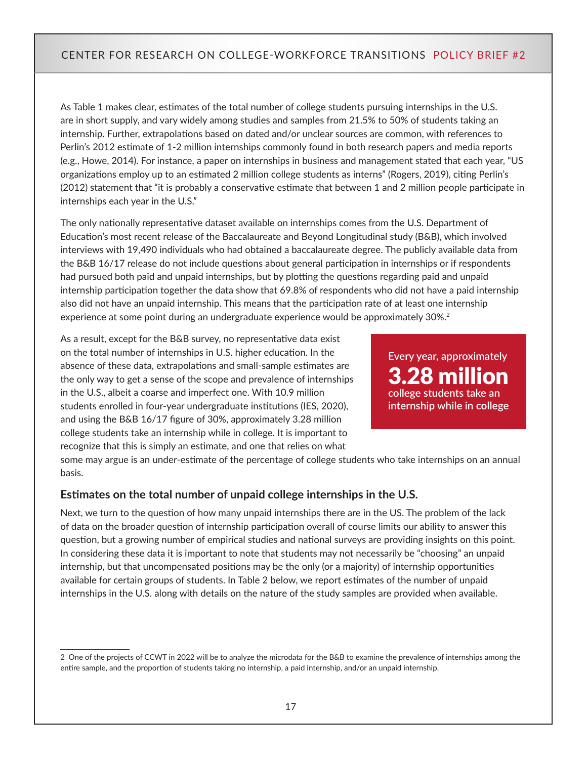As Table 1 makes clear, estimates of the total number of college students pursuing internships in the U.S. are in short supply, and vary widely among studies and samples from 21.5% to 50% of students taking an internship. Further, extrapolations based on dated and/or unclear sources are common, with references to Perlin's 2012 estimate of 1-2 million internships commonly found in both research papers and media reports (e.g., Howe, 2014). For instance, a paper on internships in business and management stated that each year, "US organizations employ up to an estimated 2 million college students as interns" (Rogers, 2019), citing Perlin's (2012) statement that "it is probably a conservative estimate that between 1 and 2 million people participate in internships each year in the U.S."

The only nationally representative dataset available on internships comes from the U.S. Department of Education's most recent release of the Baccalaureate and Beyond Longitudinal study (B&B), which involved interviews with 19,490 individuals who had obtained a baccalaureate degree. The publicly available data from the B&B 16/17 release do not include questions about general participation in internships or if respondents had pursued both paid and unpaid internships, but by plotting the questions regarding paid and unpaid internship participation together the data show that 69.8% of respondents who did not have a paid internship also did not have an unpaid internship. This means that the participation rate of at least one internship experience at some point during an undergraduate experience would be approximately 30%.<sup>2</sup>

As a result, except for the B&B survey, no representative data exist on the total number of internships in U.S. higher education. In the absence of these data, extrapolations and small-sample estimates are the only way to get a sense of the scope and prevalence of internships in the U.S., albeit a coarse and imperfect one. With 10.9 million students enrolled in four-year undergraduate institutions (IES, 2020), and using the B&B 16/17 figure of 30%, approximately 3.28 million college students take an internship while in college. It is important to recognize that this is simply an estimate, and one that relies on what

**Every year, approximately** 3.28 million **college students take an internship while in college**

some may argue is an under-estimate of the percentage of college students who take internships on an annual basis.

#### **Estimates on the total number of unpaid college internships in the U.S.**

Next, we turn to the question of how many unpaid internships there are in the US. The problem of the lack of data on the broader question of internship participation overall of course limits our ability to answer this question, but a growing number of empirical studies and national surveys are providing insights on this point. In considering these data it is important to note that students may not necessarily be "choosing" an unpaid internship, but that uncompensated positions may be the only (or a majority) of internship opportunities available for certain groups of students. In Table 2 below, we report estimates of the number of unpaid internships in the U.S. along with details on the nature of the study samples are provided when available.

<sup>2</sup> One of the projects of CCWT in 2022 will be to analyze the microdata for the B&B to examine the prevalence of internships among the entire sample, and the proportion of students taking no internship, a paid internship, and/or an unpaid internship.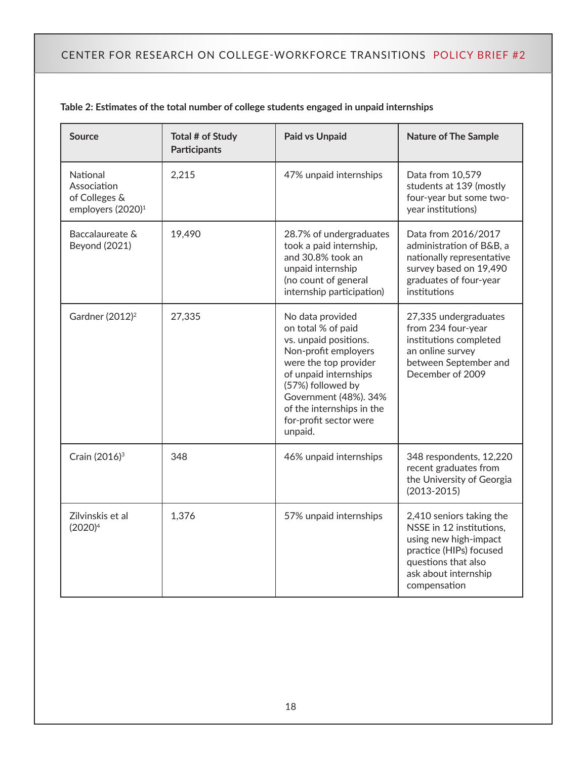| <b>Source</b>                                                             | Total # of Study<br><b>Participants</b> | <b>Paid vs Unpaid</b>                                                                                                                                                                                                                                     | <b>Nature of The Sample</b>                                                                                                                                             |
|---------------------------------------------------------------------------|-----------------------------------------|-----------------------------------------------------------------------------------------------------------------------------------------------------------------------------------------------------------------------------------------------------------|-------------------------------------------------------------------------------------------------------------------------------------------------------------------------|
| National<br>Association<br>of Colleges &<br>employers (2020) <sup>1</sup> | 2,215                                   | 47% unpaid internships                                                                                                                                                                                                                                    | Data from 10,579<br>students at 139 (mostly<br>four-year but some two-<br>year institutions)                                                                            |
| Baccalaureate &<br><b>Beyond (2021)</b>                                   | 19,490                                  | 28.7% of undergraduates<br>took a paid internship,<br>and 30.8% took an<br>unpaid internship<br>(no count of general<br>internship participation)                                                                                                         | Data from 2016/2017<br>administration of B&B, a<br>nationally representative<br>survey based on 19,490<br>graduates of four-year<br>institutions                        |
| Gardner (2012) <sup>2</sup>                                               | 27,335                                  | No data provided<br>on total % of paid<br>vs. unpaid positions.<br>Non-profit employers<br>were the top provider<br>of unpaid internships<br>(57%) followed by<br>Government (48%). 34%<br>of the internships in the<br>for-profit sector were<br>unpaid. | 27,335 undergraduates<br>from 234 four-year<br>institutions completed<br>an online survey<br>between September and<br>December of 2009                                  |
| Crain (2016) <sup>3</sup>                                                 | 348                                     | 46% unpaid internships                                                                                                                                                                                                                                    | 348 respondents, 12,220<br>recent graduates from<br>the University of Georgia<br>$(2013 - 2015)$                                                                        |
| Zilvinskis et al<br>$(2020)^4$                                            | 1,376                                   | 57% unpaid internships                                                                                                                                                                                                                                    | 2,410 seniors taking the<br>NSSE in 12 institutions,<br>using new high-impact<br>practice (HIPs) focused<br>questions that also<br>ask about internship<br>compensation |

#### **Table 2: Estimates of the total number of college students engaged in unpaid internships**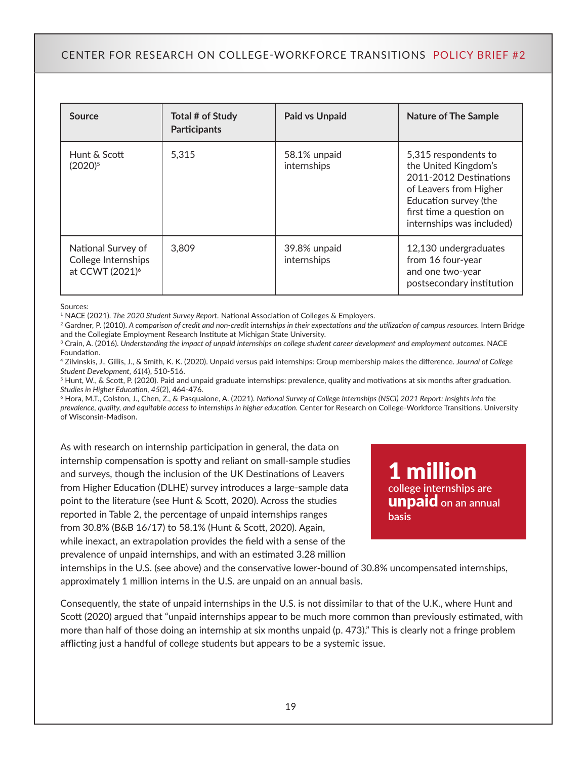| Source                                                                   | Total # of Study<br><b>Participants</b> | <b>Paid vs Unpaid</b>       | <b>Nature of The Sample</b>                                                                                                                                                        |
|--------------------------------------------------------------------------|-----------------------------------------|-----------------------------|------------------------------------------------------------------------------------------------------------------------------------------------------------------------------------|
| Hunt & Scott<br>(2020) <sup>5</sup>                                      | 5.315                                   | 58.1% unpaid<br>internships | 5,315 respondents to<br>the United Kingdom's<br>2011-2012 Destinations<br>of Leavers from Higher<br>Education survey (the<br>first time a question on<br>internships was included) |
| National Survey of<br>College Internships<br>at CCWT (2021) <sup>6</sup> | 3.809                                   | 39.8% unpaid<br>internships | 12,130 undergraduates<br>from 16 four-year<br>and one two-year<br>postsecondary institution                                                                                        |

Sources:

<sup>1</sup> NACE (2021). *The 2020 Student Survey Report*. National Association of Colleges & Employers.

<sup>2</sup> Gardner, P. (2010). *A comparison of credit and non-credit internships in their expectations and the utilization of campus resources.* Intern Bridge and the Collegiate Employment Research Institute at Michigan State University.

<sup>3</sup> Crain, A. (2016). Understanding the impact of unpaid internships on college student career development and employment outcomes. NACE Foundation.

<sup>4</sup> Zilvinskis, J., Gillis, J., & Smith, K. K. (2020). Unpaid versus paid internships: Group membership makes the difference. *Journal of College Student Development, 61*(4), 510-516.

<sup>5</sup> Hunt, W., & Scott, P. (2020). Paid and unpaid graduate internships: prevalence, quality and motivations at six months after graduation. *Studies in Higher Education, 45*(2), 464-476.

6 Hora, M.T., Colston, J., Chen, Z., & Pasqualone, A. (2021). *National Survey of College Internships (NSCI) 2021 Report: Insights into the prevalence, quality, and equitable access to internships in higher education.* Center for Research on College-Workforce Transitions. University of Wisconsin-Madison.

As with research on internship participation in general, the data on internship compensation is spotty and reliant on small-sample studies and surveys, though the inclusion of the UK Destinations of Leavers from Higher Education (DLHE) survey introduces a large-sample data point to the literature (see Hunt & Scott, 2020). Across the studies reported in Table 2, the percentage of unpaid internships ranges from 30.8% (B&B 16/17) to 58.1% (Hunt & Scott, 2020). Again, while inexact, an extrapolation provides the field with a sense of the prevalence of unpaid internships, and with an estimated 3.28 million

1 million **college internships are**  unpaid **on an annual basis**

internships in the U.S. (see above) and the conservative lower-bound of 30.8% uncompensated internships, approximately 1 million interns in the U.S. are unpaid on an annual basis.

Consequently, the state of unpaid internships in the U.S. is not dissimilar to that of the U.K., where Hunt and Scott (2020) argued that "unpaid internships appear to be much more common than previously estimated, with more than half of those doing an internship at six months unpaid (p. 473)." This is clearly not a fringe problem afflicting just a handful of college students but appears to be a systemic issue.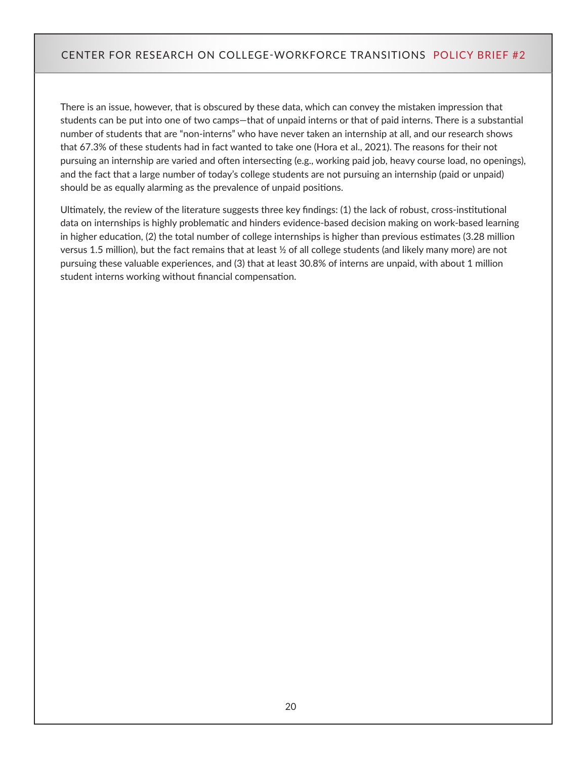There is an issue, however, that is obscured by these data, which can convey the mistaken impression that students can be put into one of two camps—that of unpaid interns or that of paid interns. There is a substantial number of students that are "non-interns" who have never taken an internship at all, and our research shows that 67.3% of these students had in fact wanted to take one (Hora et al., 2021). The reasons for their not pursuing an internship are varied and often intersecting (e.g., working paid job, heavy course load, no openings), and the fact that a large number of today's college students are not pursuing an internship (paid or unpaid) should be as equally alarming as the prevalence of unpaid positions.

Ultimately, the review of the literature suggests three key findings: (1) the lack of robust, cross-institutional data on internships is highly problematic and hinders evidence-based decision making on work-based learning in higher education, (2) the total number of college internships is higher than previous estimates (3.28 million versus 1.5 million), but the fact remains that at least ½ of all college students (and likely many more) are not pursuing these valuable experiences, and (3) that at least 30.8% of interns are unpaid, with about 1 million student interns working without financial compensation.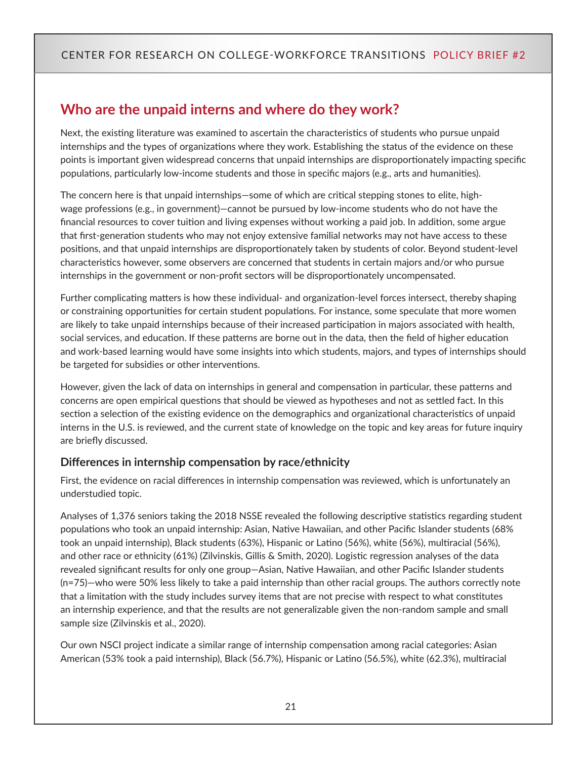# <span id="page-20-0"></span>**Who are the unpaid interns and where do they work?**

Next, the existing literature was examined to ascertain the characteristics of students who pursue unpaid internships and the types of organizations where they work. Establishing the status of the evidence on these points is important given widespread concerns that unpaid internships are disproportionately impacting specific populations, particularly low-income students and those in specific majors (e.g., arts and humanities).

The concern here is that unpaid internships—some of which are critical stepping stones to elite, highwage professions (e.g., in government)—cannot be pursued by low-income students who do not have the financial resources to cover tuition and living expenses without working a paid job. In addition, some argue that first-generation students who may not enjoy extensive familial networks may not have access to these positions, and that unpaid internships are disproportionately taken by students of color. Beyond student-level characteristics however, some observers are concerned that students in certain majors and/or who pursue internships in the government or non-profit sectors will be disproportionately uncompensated.

Further complicating matters is how these individual- and organization-level forces intersect, thereby shaping or constraining opportunities for certain student populations. For instance, some speculate that more women are likely to take unpaid internships because of their increased participation in majors associated with health, social services, and education. If these patterns are borne out in the data, then the field of higher education and work-based learning would have some insights into which students, majors, and types of internships should be targeted for subsidies or other interventions.

However, given the lack of data on internships in general and compensation in particular, these patterns and concerns are open empirical questions that should be viewed as hypotheses and not as settled fact. In this section a selection of the existing evidence on the demographics and organizational characteristics of unpaid interns in the U.S. is reviewed, and the current state of knowledge on the topic and key areas for future inquiry are briefly discussed.

#### **Differences in internship compensation by race/ethnicity**

First, the evidence on racial differences in internship compensation was reviewed, which is unfortunately an understudied topic.

Analyses of 1,376 seniors taking the 2018 NSSE revealed the following descriptive statistics regarding student populations who took an unpaid internship: Asian, Native Hawaiian, and other Pacific Islander students (68% took an unpaid internship), Black students (63%), Hispanic or Latino (56%), white (56%), multiracial (56%), and other race or ethnicity (61%) (Zilvinskis, Gillis & Smith, 2020). Logistic regression analyses of the data revealed significant results for only one group—Asian, Native Hawaiian, and other Pacific Islander students (n=75)—who were 50% less likely to take a paid internship than other racial groups. The authors correctly note that a limitation with the study includes survey items that are not precise with respect to what constitutes an internship experience, and that the results are not generalizable given the non-random sample and small sample size (Zilvinskis et al., 2020).

Our own NSCI project indicate a similar range of internship compensation among racial categories: Asian American (53% took a paid internship), Black (56.7%), Hispanic or Latino (56.5%), white (62.3%), multiracial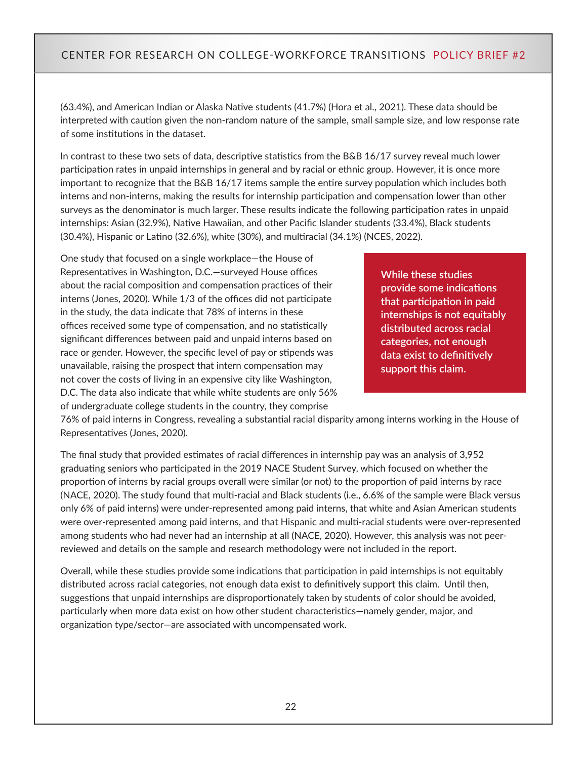(63.4%), and American Indian or Alaska Native students (41.7%) (Hora et al., 2021). These data should be interpreted with caution given the non-random nature of the sample, small sample size, and low response rate of some institutions in the dataset.

In contrast to these two sets of data, descriptive statistics from the B&B 16/17 survey reveal much lower participation rates in unpaid internships in general and by racial or ethnic group. However, it is once more important to recognize that the B&B 16/17 items sample the entire survey population which includes both interns and non-interns, making the results for internship participation and compensation lower than other surveys as the denominator is much larger. These results indicate the following participation rates in unpaid internships: Asian (32.9%), Native Hawaiian, and other Pacific Islander students (33.4%), Black students (30.4%), Hispanic or Latino (32.6%), white (30%), and multiracial (34.1%) (NCES, 2022).

One study that focused on a single workplace—the House of Representatives in Washington, D.C.—surveyed House offices about the racial composition and compensation practices of their interns (Jones, 2020). While 1/3 of the offices did not participate in the study, the data indicate that 78% of interns in these offices received some type of compensation, and no statistically significant differences between paid and unpaid interns based on race or gender. However, the specific level of pay or stipends was unavailable, raising the prospect that intern compensation may not cover the costs of living in an expensive city like Washington, D.C. The data also indicate that while white students are only 56% of undergraduate college students in the country, they comprise

**While these studies provide some indications that participation in paid internships is not equitably distributed across racial categories, not enough data exist to definitively support this claim.**

76% of paid interns in Congress, revealing a substantial racial disparity among interns working in the House of Representatives (Jones, 2020).

The final study that provided estimates of racial differences in internship pay was an analysis of 3,952 graduating seniors who participated in the 2019 NACE Student Survey, which focused on whether the proportion of interns by racial groups overall were similar (or not) to the proportion of paid interns by race (NACE, 2020). The study found that multi-racial and Black students (i.e., 6.6% of the sample were Black versus only 6% of paid interns) were under-represented among paid interns, that white and Asian American students were over-represented among paid interns, and that Hispanic and multi-racial students were over-represented among students who had never had an internship at all (NACE, 2020). However, this analysis was not peerreviewed and details on the sample and research methodology were not included in the report.

Overall, while these studies provide some indications that participation in paid internships is not equitably distributed across racial categories, not enough data exist to definitively support this claim. Until then, suggestions that unpaid internships are disproportionately taken by students of color should be avoided, particularly when more data exist on how other student characteristics—namely gender, major, and organization type/sector—are associated with uncompensated work.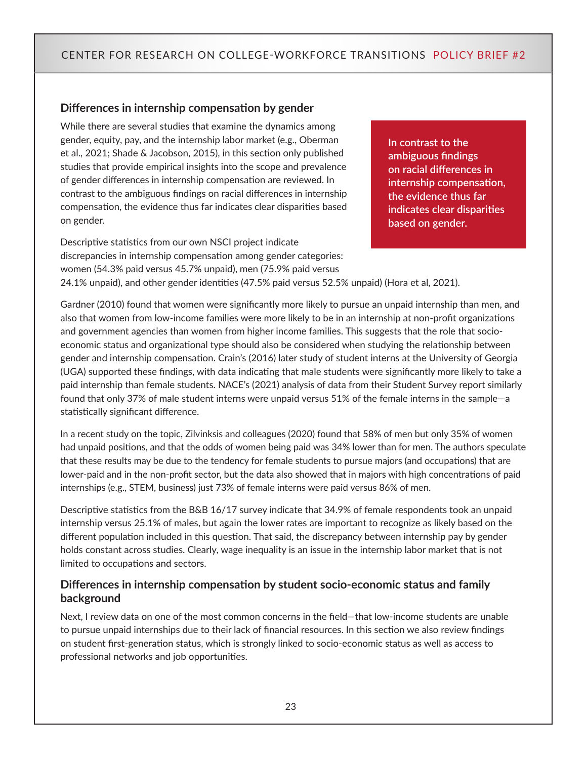#### **Differences in internship compensation by gender**

While there are several studies that examine the dynamics among gender, equity, pay, and the internship labor market (e.g., Oberman et al., 2021; Shade & Jacobson, 2015), in this section only published studies that provide empirical insights into the scope and prevalence of gender differences in internship compensation are reviewed. In contrast to the ambiguous findings on racial differences in internship compensation, the evidence thus far indicates clear disparities based on gender.

**In contrast to the ambiguous findings on racial differences in internship compensation, the evidence thus far indicates clear disparities based on gender.**

Descriptive statistics from our own NSCI project indicate discrepancies in internship compensation among gender categories: women (54.3% paid versus 45.7% unpaid), men (75.9% paid versus 24.1% unpaid), and other gender identities (47.5% paid versus 52.5% unpaid) (Hora et al, 2021).

Gardner (2010) found that women were significantly more likely to pursue an unpaid internship than men, and also that women from low-income families were more likely to be in an internship at non-profit organizations and government agencies than women from higher income families. This suggests that the role that socioeconomic status and organizational type should also be considered when studying the relationship between gender and internship compensation. Crain's (2016) later study of student interns at the University of Georgia (UGA) supported these findings, with data indicating that male students were significantly more likely to take a paid internship than female students. NACE's (2021) analysis of data from their Student Survey report similarly found that only 37% of male student interns were unpaid versus 51% of the female interns in the sample—a statistically significant difference.

In a recent study on the topic, Zilvinksis and colleagues (2020) found that 58% of men but only 35% of women had unpaid positions, and that the odds of women being paid was 34% lower than for men. The authors speculate that these results may be due to the tendency for female students to pursue majors (and occupations) that are lower-paid and in the non-profit sector, but the data also showed that in majors with high concentrations of paid internships (e.g., STEM, business) just 73% of female interns were paid versus 86% of men.

Descriptive statistics from the B&B 16/17 survey indicate that 34.9% of female respondents took an unpaid internship versus 25.1% of males, but again the lower rates are important to recognize as likely based on the different population included in this question. That said, the discrepancy between internship pay by gender holds constant across studies. Clearly, wage inequality is an issue in the internship labor market that is not limited to occupations and sectors.

#### **Differences in internship compensation by student socio-economic status and family background**

Next, I review data on one of the most common concerns in the field—that low-income students are unable to pursue unpaid internships due to their lack of financial resources. In this section we also review findings on student first-generation status, which is strongly linked to socio-economic status as well as access to professional networks and job opportunities.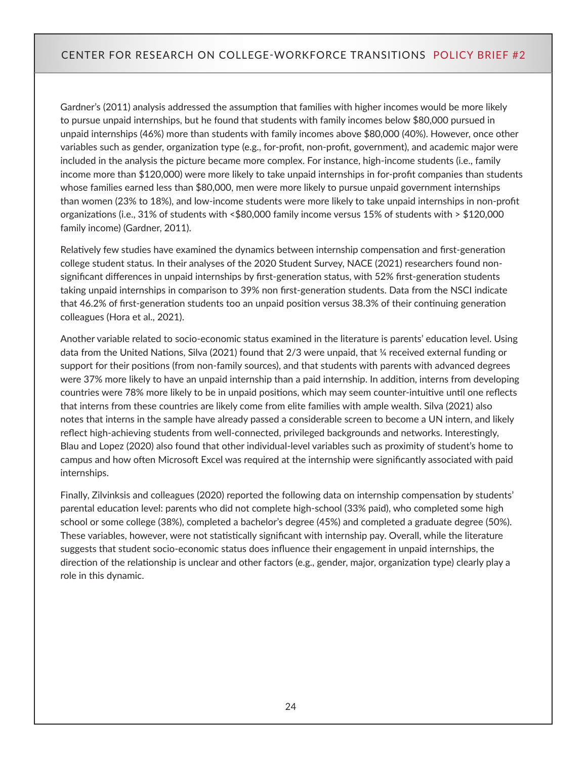Gardner's (2011) analysis addressed the assumption that families with higher incomes would be more likely to pursue unpaid internships, but he found that students with family incomes below \$80,000 pursued in unpaid internships (46%) more than students with family incomes above \$80,000 (40%). However, once other variables such as gender, organization type (e.g., for-profit, non-profit, government), and academic major were included in the analysis the picture became more complex. For instance, high-income students (i.e., family income more than \$120,000) were more likely to take unpaid internships in for-profit companies than students whose families earned less than \$80,000, men were more likely to pursue unpaid government internships than women (23% to 18%), and low-income students were more likely to take unpaid internships in non-profit organizations (i.e., 31% of students with <\$80,000 family income versus 15% of students with > \$120,000 family income) (Gardner, 2011).

Relatively few studies have examined the dynamics between internship compensation and first-generation college student status. In their analyses of the 2020 Student Survey, NACE (2021) researchers found nonsignificant differences in unpaid internships by first-generation status, with 52% first-generation students taking unpaid internships in comparison to 39% non first-generation students. Data from the NSCI indicate that 46.2% of first-generation students too an unpaid position versus 38.3% of their continuing generation colleagues (Hora et al., 2021).

Another variable related to socio-economic status examined in the literature is parents' education level. Using data from the United Nations, Silva (2021) found that 2/3 were unpaid, that ¼ received external funding or support for their positions (from non-family sources), and that students with parents with advanced degrees were 37% more likely to have an unpaid internship than a paid internship. In addition, interns from developing countries were 78% more likely to be in unpaid positions, which may seem counter-intuitive until one reflects that interns from these countries are likely come from elite families with ample wealth. Silva (2021) also notes that interns in the sample have already passed a considerable screen to become a UN intern, and likely reflect high-achieving students from well-connected, privileged backgrounds and networks. Interestingly, Blau and Lopez (2020) also found that other individual-level variables such as proximity of student's home to campus and how often Microsoft Excel was required at the internship were significantly associated with paid internships.

Finally, Zilvinksis and colleagues (2020) reported the following data on internship compensation by students' parental education level: parents who did not complete high-school (33% paid), who completed some high school or some college (38%), completed a bachelor's degree (45%) and completed a graduate degree (50%). These variables, however, were not statistically significant with internship pay. Overall, while the literature suggests that student socio-economic status does influence their engagement in unpaid internships, the direction of the relationship is unclear and other factors (e.g., gender, major, organization type) clearly play a role in this dynamic.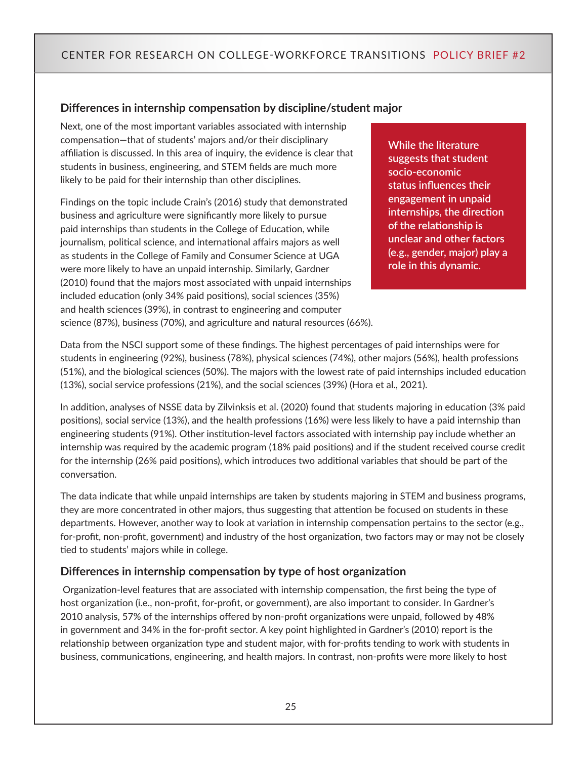#### **Differences in internship compensation by discipline/student major**

Next, one of the most important variables associated with internship compensation—that of students' majors and/or their disciplinary affiliation is discussed. In this area of inquiry, the evidence is clear that students in business, engineering, and STEM fields are much more likely to be paid for their internship than other disciplines.

Findings on the topic include Crain's (2016) study that demonstrated business and agriculture were significantly more likely to pursue paid internships than students in the College of Education, while journalism, political science, and international affairs majors as well as students in the College of Family and Consumer Science at UGA were more likely to have an unpaid internship. Similarly, Gardner (2010) found that the majors most associated with unpaid internships included education (only 34% paid positions), social sciences (35%) and health sciences (39%), in contrast to engineering and computer science (87%), business (70%), and agriculture and natural resources (66%). **While the literature suggests that student socio-economic status influences their engagement in unpaid internships, the direction of the relationship is unclear and other factors (e.g., gender, major) play a role in this dynamic.** 

Data from the NSCI support some of these findings. The highest percentages of paid internships were for students in engineering (92%), business (78%), physical sciences (74%), other majors (56%), health professions (51%), and the biological sciences (50%). The majors with the lowest rate of paid internships included education (13%), social service professions (21%), and the social sciences (39%) (Hora et al., 2021).

In addition, analyses of NSSE data by Zilvinksis et al. (2020) found that students majoring in education (3% paid positions), social service (13%), and the health professions (16%) were less likely to have a paid internship than engineering students (91%). Other institution-level factors associated with internship pay include whether an internship was required by the academic program (18% paid positions) and if the student received course credit for the internship (26% paid positions), which introduces two additional variables that should be part of the conversation.

The data indicate that while unpaid internships are taken by students majoring in STEM and business programs, they are more concentrated in other majors, thus suggesting that attention be focused on students in these departments. However, another way to look at variation in internship compensation pertains to the sector (e.g., for-profit, non-profit, government) and industry of the host organization, two factors may or may not be closely tied to students' majors while in college.

#### **Differences in internship compensation by type of host organization**

 Organization-level features that are associated with internship compensation, the first being the type of host organization (i.e., non-profit, for-profit, or government), are also important to consider. In Gardner's 2010 analysis, 57% of the internships offered by non-profit organizations were unpaid, followed by 48% in government and 34% in the for-profit sector. A key point highlighted in Gardner's (2010) report is the relationship between organization type and student major, with for-profits tending to work with students in business, communications, engineering, and health majors. In contrast, non-profits were more likely to host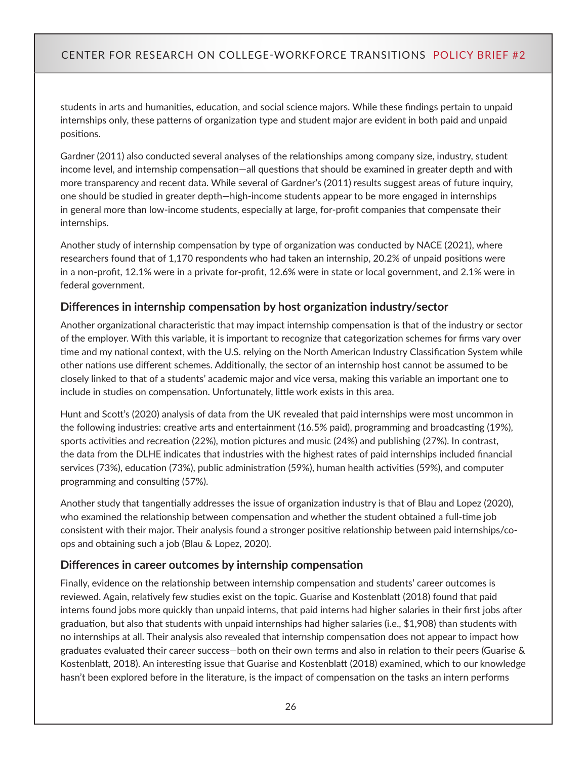students in arts and humanities, education, and social science majors. While these findings pertain to unpaid internships only, these patterns of organization type and student major are evident in both paid and unpaid positions.

Gardner (2011) also conducted several analyses of the relationships among company size, industry, student income level, and internship compensation—all questions that should be examined in greater depth and with more transparency and recent data. While several of Gardner's (2011) results suggest areas of future inquiry, one should be studied in greater depth—high-income students appear to be more engaged in internships in general more than low-income students, especially at large, for-profit companies that compensate their internships.

Another study of internship compensation by type of organization was conducted by NACE (2021), where researchers found that of 1,170 respondents who had taken an internship, 20.2% of unpaid positions were in a non-profit, 12.1% were in a private for-profit, 12.6% were in state or local government, and 2.1% were in federal government.

#### **Differences in internship compensation by host organization industry/sector**

Another organizational characteristic that may impact internship compensation is that of the industry or sector of the employer. With this variable, it is important to recognize that categorization schemes for firms vary over time and my national context, with the U.S. relying on the North American Industry Classification System while other nations use different schemes. Additionally, the sector of an internship host cannot be assumed to be closely linked to that of a students' academic major and vice versa, making this variable an important one to include in studies on compensation. Unfortunately, little work exists in this area.

Hunt and Scott's (2020) analysis of data from the UK revealed that paid internships were most uncommon in the following industries: creative arts and entertainment (16.5% paid), programming and broadcasting (19%), sports activities and recreation (22%), motion pictures and music (24%) and publishing (27%). In contrast, the data from the DLHE indicates that industries with the highest rates of paid internships included financial services (73%), education (73%), public administration (59%), human health activities (59%), and computer programming and consulting (57%).

Another study that tangentially addresses the issue of organization industry is that of Blau and Lopez (2020), who examined the relationship between compensation and whether the student obtained a full-time job consistent with their major. Their analysis found a stronger positive relationship between paid internships/coops and obtaining such a job (Blau & Lopez, 2020).

#### **Differences in career outcomes by internship compensation**

Finally, evidence on the relationship between internship compensation and students' career outcomes is reviewed. Again, relatively few studies exist on the topic. Guarise and Kostenblatt (2018) found that paid interns found jobs more quickly than unpaid interns, that paid interns had higher salaries in their first jobs after graduation, but also that students with unpaid internships had higher salaries (i.e., \$1,908) than students with no internships at all. Their analysis also revealed that internship compensation does not appear to impact how graduates evaluated their career success—both on their own terms and also in relation to their peers (Guarise & Kostenblatt, 2018). An interesting issue that Guarise and Kostenblatt (2018) examined, which to our knowledge hasn't been explored before in the literature, is the impact of compensation on the tasks an intern performs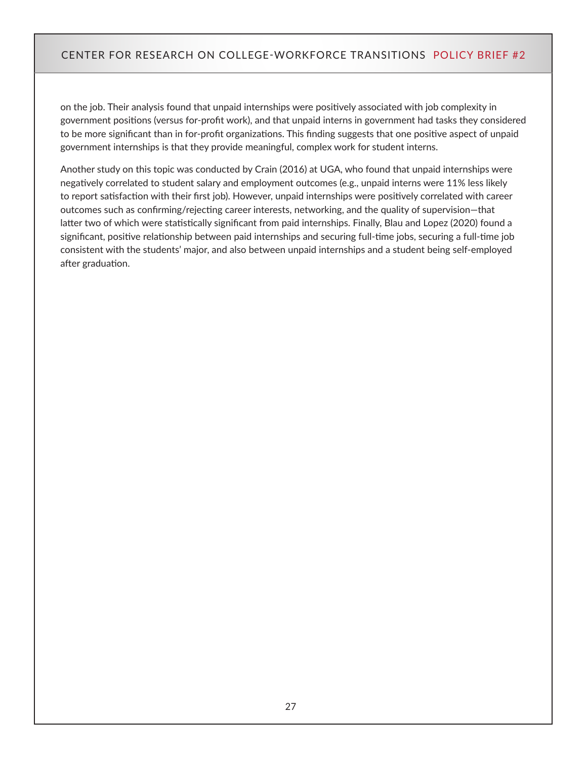on the job. Their analysis found that unpaid internships were positively associated with job complexity in government positions (versus for-profit work), and that unpaid interns in government had tasks they considered to be more significant than in for-profit organizations. This finding suggests that one positive aspect of unpaid government internships is that they provide meaningful, complex work for student interns.

Another study on this topic was conducted by Crain (2016) at UGA, who found that unpaid internships were negatively correlated to student salary and employment outcomes (e.g., unpaid interns were 11% less likely to report satisfaction with their first job). However, unpaid internships were positively correlated with career outcomes such as confirming/rejecting career interests, networking, and the quality of supervision—that latter two of which were statistically significant from paid internships. Finally, Blau and Lopez (2020) found a significant, positive relationship between paid internships and securing full-time jobs, securing a full-time job consistent with the students' major, and also between unpaid internships and a student being self-employed after graduation.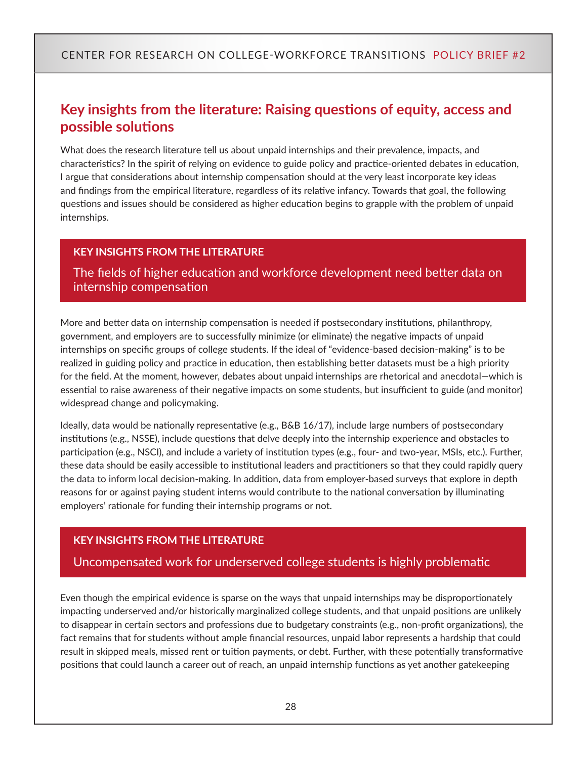# <span id="page-27-0"></span>**Key insights from the literature: Raising questions of equity, access and possible solutions**

What does the research literature tell us about unpaid internships and their prevalence, impacts, and characteristics? In the spirit of relying on evidence to guide policy and practice-oriented debates in education, I argue that considerations about internship compensation should at the very least incorporate key ideas and findings from the empirical literature, regardless of its relative infancy. Towards that goal, the following questions and issues should be considered as higher education begins to grapple with the problem of unpaid internships.

#### **KEY INSIGHTS FROM THE LITERATURE**

The fields of higher education and workforce development need better data on internship compensation

More and better data on internship compensation is needed if postsecondary institutions, philanthropy, government, and employers are to successfully minimize (or eliminate) the negative impacts of unpaid internships on specific groups of college students. If the ideal of "evidence-based decision-making" is to be realized in guiding policy and practice in education, then establishing better datasets must be a high priority for the field. At the moment, however, debates about unpaid internships are rhetorical and anecdotal—which is essential to raise awareness of their negative impacts on some students, but insufficient to guide (and monitor) widespread change and policymaking.

Ideally, data would be nationally representative (e.g., B&B 16/17), include large numbers of postsecondary institutions (e.g., NSSE), include questions that delve deeply into the internship experience and obstacles to participation (e.g., NSCI), and include a variety of institution types (e.g., four- and two-year, MSIs, etc.). Further, these data should be easily accessible to institutional leaders and practitioners so that they could rapidly query the data to inform local decision-making. In addition, data from employer-based surveys that explore in depth reasons for or against paying student interns would contribute to the national conversation by illuminating employers' rationale for funding their internship programs or not.

#### **KEY INSIGHTS FROM THE LITERATURE**

#### Uncompensated work for underserved college students is highly problematic

Even though the empirical evidence is sparse on the ways that unpaid internships may be disproportionately impacting underserved and/or historically marginalized college students, and that unpaid positions are unlikely to disappear in certain sectors and professions due to budgetary constraints (e.g., non-profit organizations), the fact remains that for students without ample financial resources, unpaid labor represents a hardship that could result in skipped meals, missed rent or tuition payments, or debt. Further, with these potentially transformative positions that could launch a career out of reach, an unpaid internship functions as yet another gatekeeping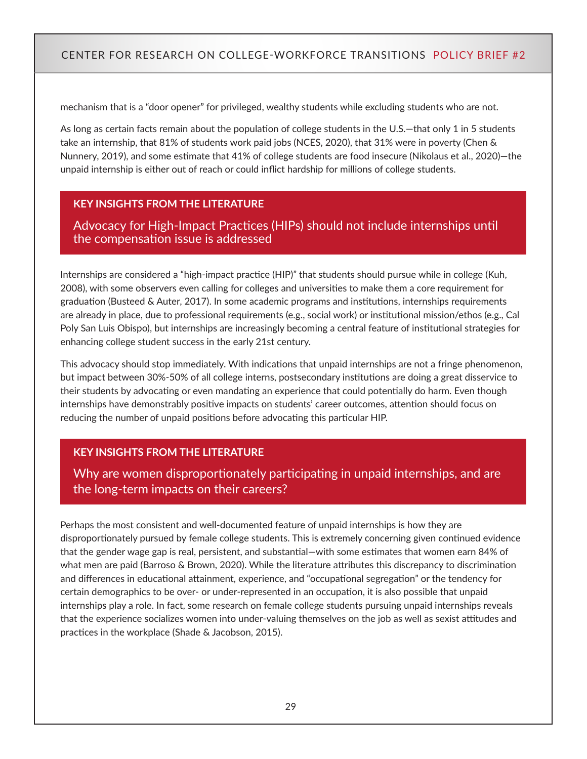mechanism that is a "door opener" for privileged, wealthy students while excluding students who are not.

As long as certain facts remain about the population of college students in the U.S.—that only 1 in 5 students take an internship, that 81% of students work paid jobs (NCES, 2020), that 31% were in poverty (Chen & Nunnery, 2019), and some estimate that 41% of college students are food insecure (Nikolaus et al., 2020)—the unpaid internship is either out of reach or could inflict hardship for millions of college students.

#### **KEY INSIGHTS FROM THE LITERATURE**

Advocacy for High-Impact Practices (HIPs) should not include internships until the compensation issue is addressed

Internships are considered a "high-impact practice (HIP)" that students should pursue while in college (Kuh, 2008), with some observers even calling for colleges and universities to make them a core requirement for graduation (Busteed & Auter, 2017). In some academic programs and institutions, internships requirements are already in place, due to professional requirements (e.g., social work) or institutional mission/ethos (e.g., Cal Poly San Luis Obispo), but internships are increasingly becoming a central feature of institutional strategies for enhancing college student success in the early 21st century.

This advocacy should stop immediately. With indications that unpaid internships are not a fringe phenomenon, but impact between 30%-50% of all college interns, postsecondary institutions are doing a great disservice to their students by advocating or even mandating an experience that could potentially do harm. Even though internships have demonstrably positive impacts on students' career outcomes, attention should focus on reducing the number of unpaid positions before advocating this particular HIP.

#### **KEY INSIGHTS FROM THE LITERATURE**

Why are women disproportionately participating in unpaid internships, and are the long-term impacts on their careers?

Perhaps the most consistent and well-documented feature of unpaid internships is how they are disproportionately pursued by female college students. This is extremely concerning given continued evidence that the gender wage gap is real, persistent, and substantial—with some estimates that women earn 84% of what men are paid (Barroso & Brown, 2020). While the literature attributes this discrepancy to discrimination and differences in educational attainment, experience, and "occupational segregation" or the tendency for certain demographics to be over- or under-represented in an occupation, it is also possible that unpaid internships play a role. In fact, some research on female college students pursuing unpaid internships reveals that the experience socializes women into under-valuing themselves on the job as well as sexist attitudes and practices in the workplace (Shade & Jacobson, 2015).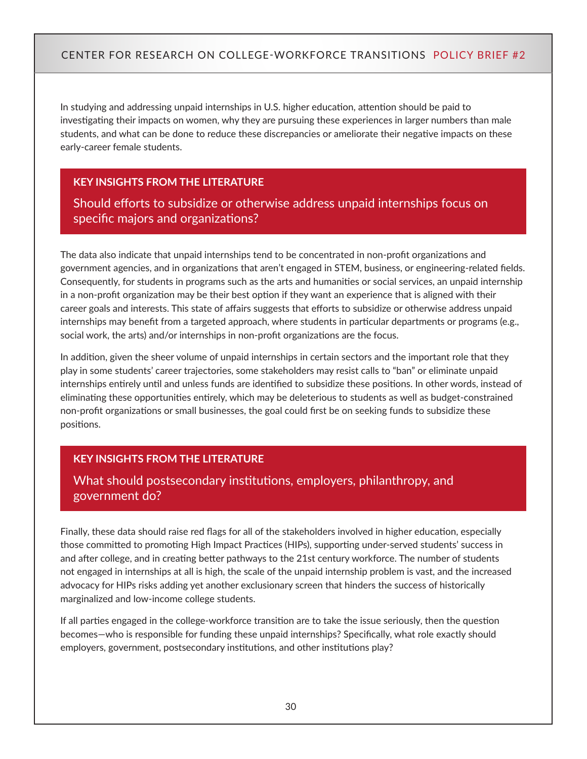In studying and addressing unpaid internships in U.S. higher education, attention should be paid to investigating their impacts on women, why they are pursuing these experiences in larger numbers than male students, and what can be done to reduce these discrepancies or ameliorate their negative impacts on these early-career female students.

#### **KEY INSIGHTS FROM THE LITERATURE**

Should efforts to subsidize or otherwise address unpaid internships focus on specific majors and organizations?

The data also indicate that unpaid internships tend to be concentrated in non-profit organizations and government agencies, and in organizations that aren't engaged in STEM, business, or engineering-related fields. Consequently, for students in programs such as the arts and humanities or social services, an unpaid internship in a non-profit organization may be their best option if they want an experience that is aligned with their career goals and interests. This state of affairs suggests that efforts to subsidize or otherwise address unpaid internships may benefit from a targeted approach, where students in particular departments or programs (e.g., social work, the arts) and/or internships in non-profit organizations are the focus.

In addition, given the sheer volume of unpaid internships in certain sectors and the important role that they play in some students' career trajectories, some stakeholders may resist calls to "ban" or eliminate unpaid internships entirely until and unless funds are identified to subsidize these positions. In other words, instead of eliminating these opportunities entirely, which may be deleterious to students as well as budget-constrained non-profit organizations or small businesses, the goal could first be on seeking funds to subsidize these positions.

#### **KEY INSIGHTS FROM THE LITERATURE**

## What should postsecondary institutions, employers, philanthropy, and government do?

Finally, these data should raise red flags for all of the stakeholders involved in higher education, especially those committed to promoting High Impact Practices (HIPs), supporting under-served students' success in and after college, and in creating better pathways to the 21st century workforce. The number of students not engaged in internships at all is high, the scale of the unpaid internship problem is vast, and the increased advocacy for HIPs risks adding yet another exclusionary screen that hinders the success of historically marginalized and low-income college students.

If all parties engaged in the college-workforce transition are to take the issue seriously, then the question becomes—who is responsible for funding these unpaid internships? Specifically, what role exactly should employers, government, postsecondary institutions, and other institutions play?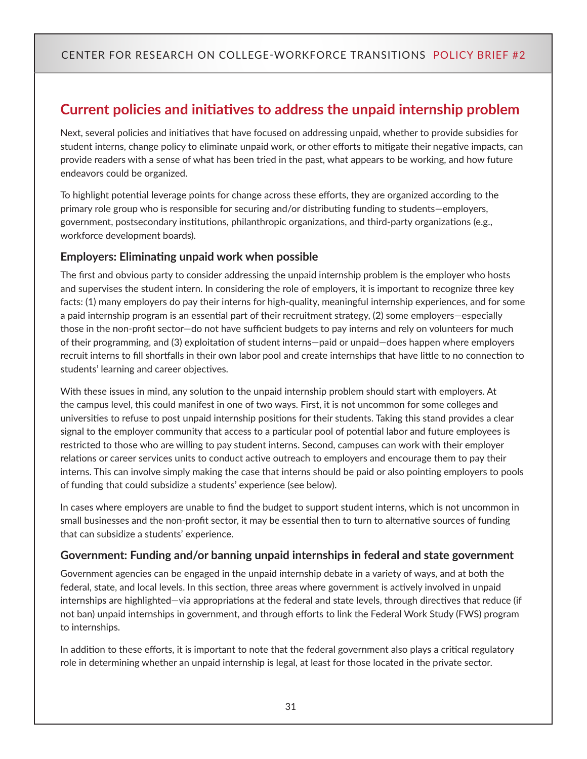# <span id="page-30-0"></span>**Current policies and initiatives to address the unpaid internship problem**

Next, several policies and initiatives that have focused on addressing unpaid, whether to provide subsidies for student interns, change policy to eliminate unpaid work, or other efforts to mitigate their negative impacts, can provide readers with a sense of what has been tried in the past, what appears to be working, and how future endeavors could be organized.

To highlight potential leverage points for change across these efforts, they are organized according to the primary role group who is responsible for securing and/or distributing funding to students—employers, government, postsecondary institutions, philanthropic organizations, and third-party organizations (e.g., workforce development boards).

#### **Employers: Eliminating unpaid work when possible**

The first and obvious party to consider addressing the unpaid internship problem is the employer who hosts and supervises the student intern. In considering the role of employers, it is important to recognize three key facts: (1) many employers do pay their interns for high-quality, meaningful internship experiences, and for some a paid internship program is an essential part of their recruitment strategy, (2) some employers—especially those in the non-profit sector—do not have sufficient budgets to pay interns and rely on volunteers for much of their programming, and (3) exploitation of student interns—paid or unpaid—does happen where employers recruit interns to fill shortfalls in their own labor pool and create internships that have little to no connection to students' learning and career objectives.

With these issues in mind, any solution to the unpaid internship problem should start with employers. At the campus level, this could manifest in one of two ways. First, it is not uncommon for some colleges and universities to refuse to post unpaid internship positions for their students. Taking this stand provides a clear signal to the employer community that access to a particular pool of potential labor and future employees is restricted to those who are willing to pay student interns. Second, campuses can work with their employer relations or career services units to conduct active outreach to employers and encourage them to pay their interns. This can involve simply making the case that interns should be paid or also pointing employers to pools of funding that could subsidize a students' experience (see below).

In cases where employers are unable to find the budget to support student interns, which is not uncommon in small businesses and the non-profit sector, it may be essential then to turn to alternative sources of funding that can subsidize a students' experience.

#### **Government: Funding and/or banning unpaid internships in federal and state government**

Government agencies can be engaged in the unpaid internship debate in a variety of ways, and at both the federal, state, and local levels. In this section, three areas where government is actively involved in unpaid internships are highlighted—via appropriations at the federal and state levels, through directives that reduce (if not ban) unpaid internships in government, and through efforts to link the Federal Work Study (FWS) program to internships.

In addition to these efforts, it is important to note that the federal government also plays a critical regulatory role in determining whether an unpaid internship is legal, at least for those located in the private sector.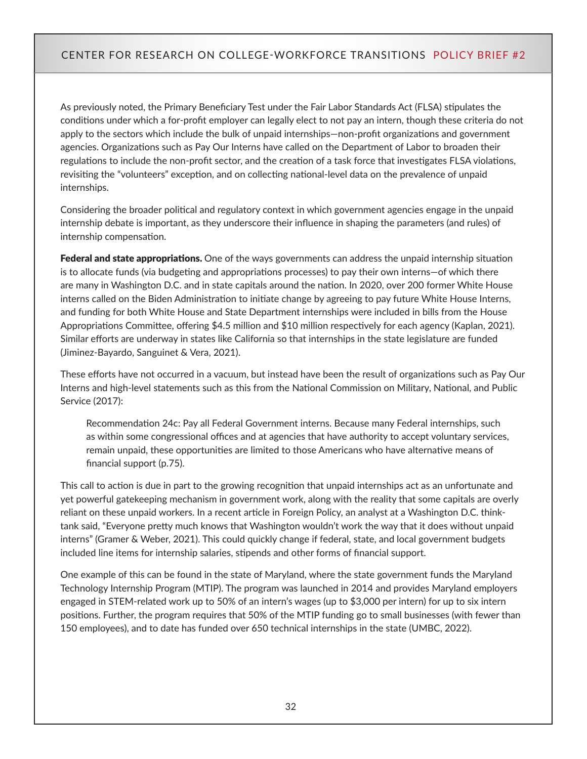As previously noted, the Primary Beneficiary Test under the Fair Labor Standards Act (FLSA) stipulates the conditions under which a for-profit employer can legally elect to not pay an intern, though these criteria do not apply to the sectors which include the bulk of unpaid internships—non-profit organizations and government agencies. Organizations such as Pay Our Interns have called on the Department of Labor to broaden their regulations to include the non-profit sector, and the creation of a task force that investigates FLSA violations, revisiting the "volunteers" exception, and on collecting national-level data on the prevalence of unpaid internships.

Considering the broader political and regulatory context in which government agencies engage in the unpaid internship debate is important, as they underscore their influence in shaping the parameters (and rules) of internship compensation.

Federal and state appropriations. One of the ways governments can address the unpaid internship situation is to allocate funds (via budgeting and appropriations processes) to pay their own interns—of which there are many in Washington D.C. and in state capitals around the nation. In 2020, over 200 former White House interns called on the Biden Administration to initiate change by agreeing to pay future White House Interns, and funding for both White House and State Department internships were included in bills from the House Appropriations Committee, offering \$4.5 million and \$10 million respectively for each agency (Kaplan, 2021). Similar efforts are underway in states like California so that internships in the state legislature are funded (Jiminez-Bayardo, Sanguinet & Vera, 2021).

These efforts have not occurred in a vacuum, but instead have been the result of organizations such as Pay Our Interns and high-level statements such as this from the National Commission on Military, National, and Public Service (2017):

Recommendation 24c: Pay all Federal Government interns. Because many Federal internships, such as within some congressional offices and at agencies that have authority to accept voluntary services, remain unpaid, these opportunities are limited to those Americans who have alternative means of financial support (p.75).

This call to action is due in part to the growing recognition that unpaid internships act as an unfortunate and yet powerful gatekeeping mechanism in government work, along with the reality that some capitals are overly reliant on these unpaid workers. In a recent article in Foreign Policy, an analyst at a Washington D.C. thinktank said, "Everyone pretty much knows that Washington wouldn't work the way that it does without unpaid interns" (Gramer & Weber, 2021). This could quickly change if federal, state, and local government budgets included line items for internship salaries, stipends and other forms of financial support.

One example of this can be found in the state of Maryland, where the state government funds the Maryland Technology Internship Program (MTIP). The program was launched in 2014 and provides Maryland employers engaged in STEM-related work up to 50% of an intern's wages (up to \$3,000 per intern) for up to six intern positions. Further, the program requires that 50% of the MTIP funding go to small businesses (with fewer than 150 employees), and to date has funded over 650 technical internships in the state (UMBC, 2022).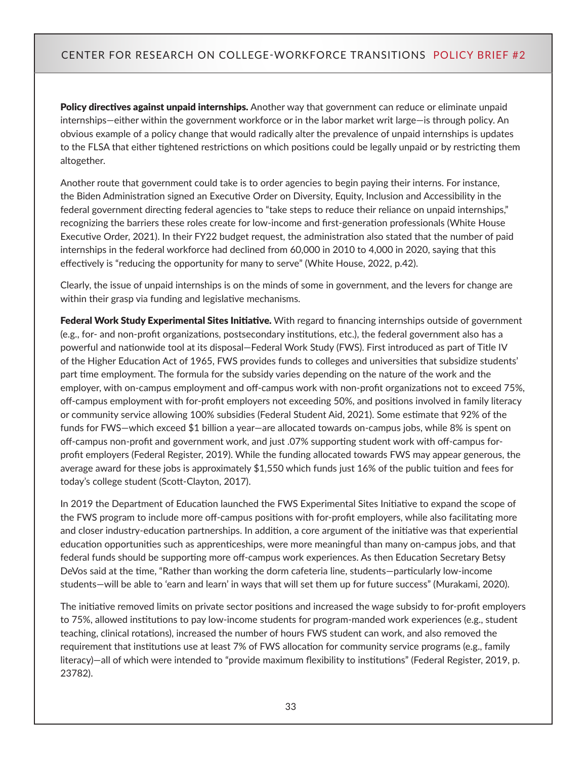**Policy directives against unpaid internships.** Another way that government can reduce or eliminate unpaid internships—either within the government workforce or in the labor market writ large—is through policy. An obvious example of a policy change that would radically alter the prevalence of unpaid internships is updates to the FLSA that either tightened restrictions on which positions could be legally unpaid or by restricting them altogether.

Another route that government could take is to order agencies to begin paying their interns. For instance, the Biden Administration signed an Executive Order on Diversity, Equity, Inclusion and Accessibility in the federal government directing federal agencies to "take steps to reduce their reliance on unpaid internships," recognizing the barriers these roles create for low-income and first-generation professionals (White House Executive Order, 2021). In their FY22 budget request, the administration also stated that the number of paid internships in the federal workforce had declined from 60,000 in 2010 to 4,000 in 2020, saying that this effectively is "reducing the opportunity for many to serve" (White House, 2022, p.42).

Clearly, the issue of unpaid internships is on the minds of some in government, and the levers for change are within their grasp via funding and legislative mechanisms.

Federal Work Study Experimental Sites Initiative. With regard to financing internships outside of government (e.g., for- and non-profit organizations, postsecondary institutions, etc.), the federal government also has a powerful and nationwide tool at its disposal—Federal Work Study (FWS). First introduced as part of Title IV of the Higher Education Act of 1965, FWS provides funds to colleges and universities that subsidize students' part time employment. The formula for the subsidy varies depending on the nature of the work and the employer, with on-campus employment and off-campus work with non-profit organizations not to exceed 75%, off-campus employment with for-profit employers not exceeding 50%, and positions involved in family literacy or community service allowing 100% subsidies (Federal Student Aid, 2021). Some estimate that 92% of the funds for FWS—which exceed \$1 billion a year—are allocated towards on-campus jobs, while 8% is spent on off-campus non-profit and government work, and just .07% supporting student work with off-campus forprofit employers (Federal Register, 2019). While the funding allocated towards FWS may appear generous, the average award for these jobs is approximately \$1,550 which funds just 16% of the public tuition and fees for today's college student (Scott-Clayton, 2017).

In 2019 the Department of Education launched the FWS Experimental Sites Initiative to expand the scope of the FWS program to include more off-campus positions with for-profit employers, while also facilitating more and closer industry-education partnerships. In addition, a core argument of the initiative was that experiential education opportunities such as apprenticeships, were more meaningful than many on-campus jobs, and that federal funds should be supporting more off-campus work experiences. As then Education Secretary Betsy DeVos said at the time, "Rather than working the dorm cafeteria line, students—particularly low-income students—will be able to 'earn and learn' in ways that will set them up for future success" (Murakami, 2020).

The initiative removed limits on private sector positions and increased the wage subsidy to for-profit employers to 75%, allowed institutions to pay low-income students for program-manded work experiences (e.g., student teaching, clinical rotations), increased the number of hours FWS student can work, and also removed the requirement that institutions use at least 7% of FWS allocation for community service programs (e.g., family literacy)—all of which were intended to "provide maximum flexibility to institutions" (Federal Register, 2019, p. 23782).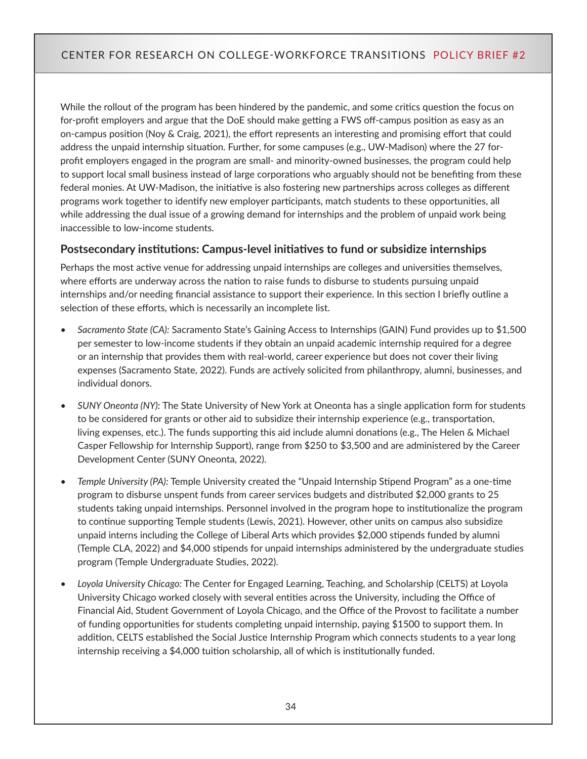While the rollout of the program has been hindered by the pandemic, and some critics question the focus on for-profit employers and argue that the DoE should make getting a FWS off-campus position as easy as an on-campus position (Noy & Craig, 2021), the effort represents an interesting and promising effort that could address the unpaid internship situation. Further, for some campuses (e.g., UW-Madison) where the 27 forprofit employers engaged in the program are small- and minority-owned businesses, the program could help to support local small business instead of large corporations who arguably should not be benefiting from these federal monies. At UW-Madison, the initiative is also fostering new partnerships across colleges as different programs work together to identify new employer participants, match students to these opportunities, all while addressing the dual issue of a growing demand for internships and the problem of unpaid work being inaccessible to low-income students.

### **Postsecondary institutions: Campus-level initiatives to fund or subsidize internships**

Perhaps the most active venue for addressing unpaid internships are colleges and universities themselves, where efforts are underway across the nation to raise funds to disburse to students pursuing unpaid internships and/or needing financial assistance to support their experience. In this section I briefly outline a selection of these efforts, which is necessarily an incomplete list.

- *• Sacramento State (CA):* Sacramento State's Gaining Access to Internships (GAIN) Fund provides up to \$1,500 per semester to low-income students if they obtain an unpaid academic internship required for a degree or an internship that provides them with real-world, career experience but does not cover their living expenses (Sacramento State, 2022). Funds are actively solicited from philanthropy, alumni, businesses, and individual donors.
- *• SUNY Oneonta (NY):* The State University of New York at Oneonta has a single application form for students to be considered for grants or other aid to subsidize their internship experience (e.g., transportation, living expenses, etc.). The funds supporting this aid include alumni donations (e.g., The Helen & Michael Casper Fellowship for Internship Support), range from \$250 to \$3,500 and are administered by the Career Development Center (SUNY Oneonta, 2022).
- *• Temple University (PA):* Temple University created the "Unpaid Internship Stipend Program" as a one-time program to disburse unspent funds from career services budgets and distributed \$2,000 grants to 25 students taking unpaid internships. Personnel involved in the program hope to institutionalize the program to continue supporting Temple students (Lewis, 2021). However, other units on campus also subsidize unpaid interns including the College of Liberal Arts which provides \$2,000 stipends funded by alumni (Temple CLA, 2022) and \$4,000 stipends for unpaid internships administered by the undergraduate studies program (Temple Undergraduate Studies, 2022).
- *• Loyola University Chicago:* The Center for Engaged Learning, Teaching, and Scholarship (CELTS) at Loyola University Chicago worked closely with several entities across the University, including the Office of Financial Aid, Student Government of Loyola Chicago, and the Office of the Provost to facilitate a number of funding opportunities for students completing unpaid internship, paying \$1500 to support them. In addition, CELTS established the Social Justice Internship Program which connects students to a year long internship receiving a \$4,000 tuition scholarship, all of which is institutionally funded.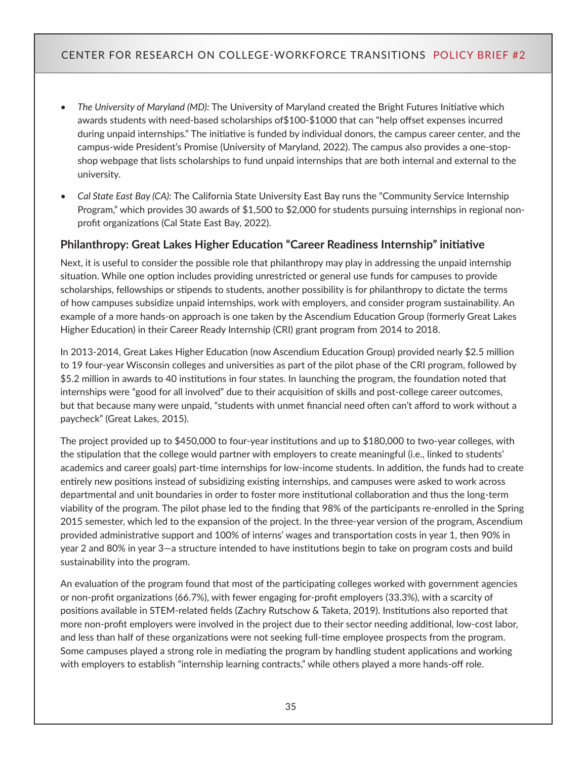- *• The University of Maryland (MD):* The University of Maryland created the Bright Futures Initiative which awards students with need-based scholarships of\$100-\$1000 that can "help offset expenses incurred during unpaid internships." The initiative is funded by individual donors, the campus career center, and the campus-wide President's Promise (University of Maryland, 2022). The campus also provides a one-stopshop webpage that lists scholarships to fund unpaid internships that are both internal and external to the university.
- *• Cal State East Bay (CA):* The California State University East Bay runs the "Community Service Internship Program," which provides 30 awards of \$1,500 to \$2,000 for students pursuing internships in regional nonprofit organizations (Cal State East Bay, 2022).

#### **Philanthropy: Great Lakes Higher Education "Career Readiness Internship" initiative**

Next, it is useful to consider the possible role that philanthropy may play in addressing the unpaid internship situation. While one option includes providing unrestricted or general use funds for campuses to provide scholarships, fellowships or stipends to students, another possibility is for philanthropy to dictate the terms of how campuses subsidize unpaid internships, work with employers, and consider program sustainability. An example of a more hands-on approach is one taken by the Ascendium Education Group (formerly Great Lakes Higher Education) in their Career Ready Internship (CRI) grant program from 2014 to 2018.

In 2013-2014, Great Lakes Higher Education (now Ascendium Education Group) provided nearly \$2.5 million to 19 four-year Wisconsin colleges and universities as part of the pilot phase of the CRI program, followed by \$5.2 million in awards to 40 institutions in four states. In launching the program, the foundation noted that internships were "good for all involved" due to their acquisition of skills and post-college career outcomes, but that because many were unpaid, "students with unmet financial need often can't afford to work without a paycheck" (Great Lakes, 2015).

The project provided up to \$450,000 to four-year institutions and up to \$180,000 to two-year colleges, with the stipulation that the college would partner with employers to create meaningful (i.e., linked to students' academics and career goals) part-time internships for low-income students. In addition, the funds had to create entirely new positions instead of subsidizing existing internships, and campuses were asked to work across departmental and unit boundaries in order to foster more institutional collaboration and thus the long-term viability of the program. The pilot phase led to the finding that 98% of the participants re-enrolled in the Spring 2015 semester, which led to the expansion of the project. In the three-year version of the program, Ascendium provided administrative support and 100% of interns' wages and transportation costs in year 1, then 90% in year 2 and 80% in year 3—a structure intended to have institutions begin to take on program costs and build sustainability into the program.

An evaluation of the program found that most of the participating colleges worked with government agencies or non-profit organizations (66.7%), with fewer engaging for-profit employers (33.3%), with a scarcity of positions available in STEM-related fields (Zachry Rutschow & Taketa, 2019). Institutions also reported that more non-profit employers were involved in the project due to their sector needing additional, low-cost labor, and less than half of these organizations were not seeking full-time employee prospects from the program. Some campuses played a strong role in mediating the program by handling student applications and working with employers to establish "internship learning contracts," while others played a more hands-off role.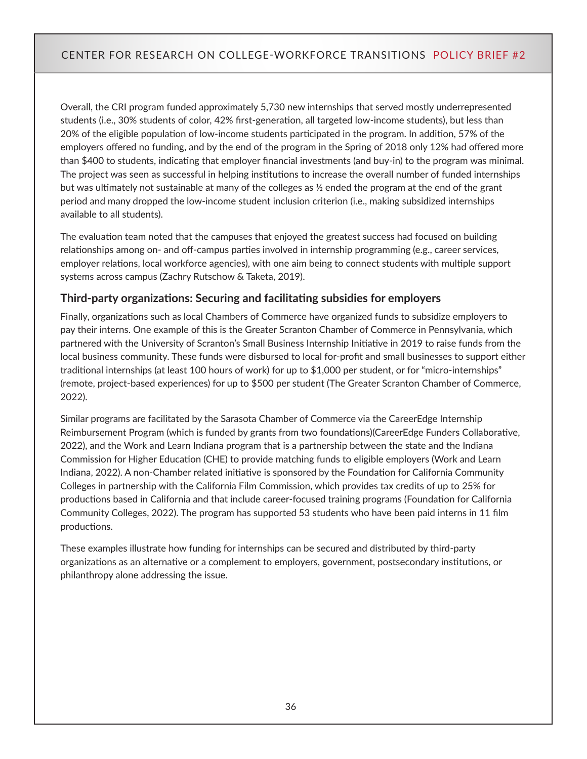Overall, the CRI program funded approximately 5,730 new internships that served mostly underrepresented students (i.e., 30% students of color, 42% first-generation, all targeted low-income students), but less than 20% of the eligible population of low-income students participated in the program. In addition, 57% of the employers offered no funding, and by the end of the program in the Spring of 2018 only 12% had offered more than \$400 to students, indicating that employer financial investments (and buy-in) to the program was minimal. The project was seen as successful in helping institutions to increase the overall number of funded internships but was ultimately not sustainable at many of the colleges as ½ ended the program at the end of the grant period and many dropped the low-income student inclusion criterion (i.e., making subsidized internships available to all students).

The evaluation team noted that the campuses that enjoyed the greatest success had focused on building relationships among on- and off-campus parties involved in internship programming (e.g., career services, employer relations, local workforce agencies), with one aim being to connect students with multiple support systems across campus (Zachry Rutschow & Taketa, 2019).

#### **Third-party organizations: Securing and facilitating subsidies for employers**

Finally, organizations such as local Chambers of Commerce have organized funds to subsidize employers to pay their interns. One example of this is the Greater Scranton Chamber of Commerce in Pennsylvania, which partnered with the University of Scranton's Small Business Internship Initiative in 2019 to raise funds from the local business community. These funds were disbursed to local for-profit and small businesses to support either traditional internships (at least 100 hours of work) for up to \$1,000 per student, or for "micro-internships" (remote, project-based experiences) for up to \$500 per student (The Greater Scranton Chamber of Commerce, 2022).

Similar programs are facilitated by the Sarasota Chamber of Commerce via the CareerEdge Internship Reimbursement Program (which is funded by grants from two foundations)(CareerEdge Funders Collaborative, 2022), and the Work and Learn Indiana program that is a partnership between the state and the Indiana Commission for Higher Education (CHE) to provide matching funds to eligible employers (Work and Learn Indiana, 2022). A non-Chamber related initiative is sponsored by the Foundation for California Community Colleges in partnership with the California Film Commission, which provides tax credits of up to 25% for productions based in California and that include career-focused training programs (Foundation for California Community Colleges, 2022). The program has supported 53 students who have been paid interns in 11 film productions.

These examples illustrate how funding for internships can be secured and distributed by third-party organizations as an alternative or a complement to employers, government, postsecondary institutions, or philanthropy alone addressing the issue.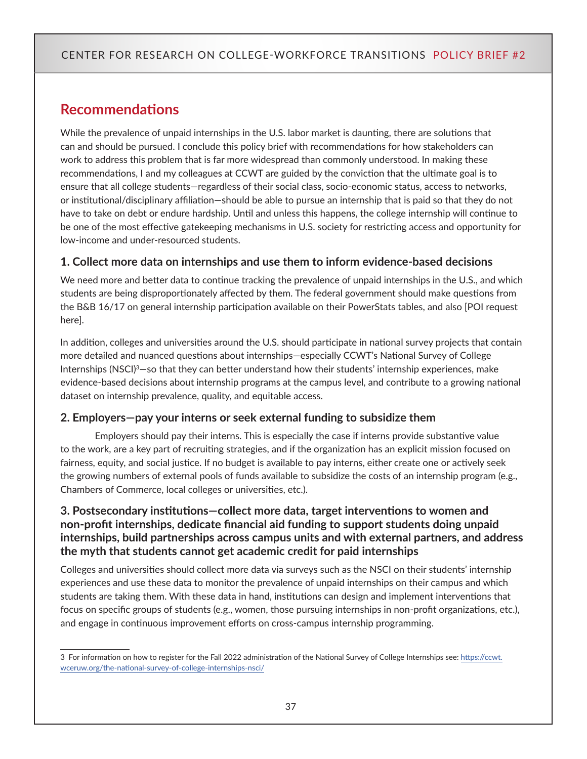## <span id="page-36-0"></span>**Recommendations**

While the prevalence of unpaid internships in the U.S. labor market is daunting, there are solutions that can and should be pursued. I conclude this policy brief with recommendations for how stakeholders can work to address this problem that is far more widespread than commonly understood. In making these recommendations, I and my colleagues at CCWT are guided by the conviction that the ultimate goal is to ensure that all college students—regardless of their social class, socio-economic status, access to networks, or institutional/disciplinary affiliation—should be able to pursue an internship that is paid so that they do not have to take on debt or endure hardship. Until and unless this happens, the college internship will continue to be one of the most effective gatekeeping mechanisms in U.S. society for restricting access and opportunity for low-income and under-resourced students.

#### **1. Collect more data on internships and use them to inform evidence-based decisions**

We need more and better data to continue tracking the prevalence of unpaid internships in the U.S., and which students are being disproportionately affected by them. The federal government should make questions from the B&B 16/17 on general internship participation available on their PowerStats tables, and also [POI request here].

In addition, colleges and universities around the U.S. should participate in national survey projects that contain more detailed and nuanced questions about internships—especially CCWT's National Survey of College Internships (NSCI)<sup>3</sup>-so that they can better understand how their students' internship experiences, make evidence-based decisions about internship programs at the campus level, and contribute to a growing national dataset on internship prevalence, quality, and equitable access.

#### **2. Employers—pay your interns or seek external funding to subsidize them**

Employers should pay their interns. This is especially the case if interns provide substantive value to the work, are a key part of recruiting strategies, and if the organization has an explicit mission focused on fairness, equity, and social justice. If no budget is available to pay interns, either create one or actively seek the growing numbers of external pools of funds available to subsidize the costs of an internship program (e.g., Chambers of Commerce, local colleges or universities, etc.).

#### **3. Postsecondary institutions—collect more data, target interventions to women and non-profit internships, dedicate financial aid funding to support students doing unpaid internships, build partnerships across campus units and with external partners, and address the myth that students cannot get academic credit for paid internships**

Colleges and universities should collect more data via surveys such as the NSCI on their students' internship experiences and use these data to monitor the prevalence of unpaid internships on their campus and which students are taking them. With these data in hand, institutions can design and implement interventions that focus on specific groups of students (e.g., women, those pursuing internships in non-profit organizations, etc.), and engage in continuous improvement efforts on cross-campus internship programming.

<sup>3</sup> For information on how to register for the Fall 2022 administration of the National Survey of College Internships see: [https://ccwt.](https://ccwt.wceruw.org/the-national-survey-of-college-internships-nsci/) [wceruw.org/the-national-survey-of-college-internships-nsci/](https://ccwt.wceruw.org/the-national-survey-of-college-internships-nsci/)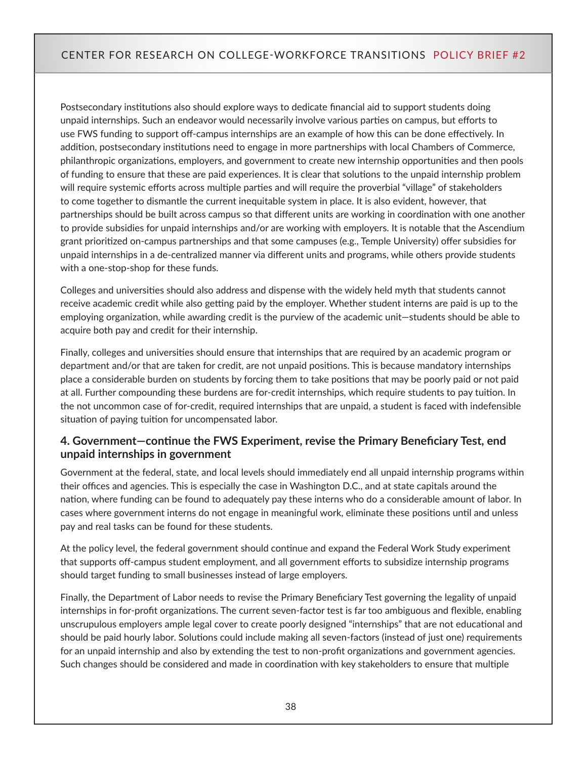Postsecondary institutions also should explore ways to dedicate financial aid to support students doing unpaid internships. Such an endeavor would necessarily involve various parties on campus, but efforts to use FWS funding to support off-campus internships are an example of how this can be done effectively. In addition, postsecondary institutions need to engage in more partnerships with local Chambers of Commerce, philanthropic organizations, employers, and government to create new internship opportunities and then pools of funding to ensure that these are paid experiences. It is clear that solutions to the unpaid internship problem will require systemic efforts across multiple parties and will require the proverbial "village" of stakeholders to come together to dismantle the current inequitable system in place. It is also evident, however, that partnerships should be built across campus so that different units are working in coordination with one another to provide subsidies for unpaid internships and/or are working with employers. It is notable that the Ascendium grant prioritized on-campus partnerships and that some campuses (e.g., Temple University) offer subsidies for unpaid internships in a de-centralized manner via different units and programs, while others provide students with a one-stop-shop for these funds.

Colleges and universities should also address and dispense with the widely held myth that students cannot receive academic credit while also getting paid by the employer. Whether student interns are paid is up to the employing organization, while awarding credit is the purview of the academic unit—students should be able to acquire both pay and credit for their internship.

Finally, colleges and universities should ensure that internships that are required by an academic program or department and/or that are taken for credit, are not unpaid positions. This is because mandatory internships place a considerable burden on students by forcing them to take positions that may be poorly paid or not paid at all. Further compounding these burdens are for-credit internships, which require students to pay tuition. In the not uncommon case of for-credit, required internships that are unpaid, a student is faced with indefensible situation of paying tuition for uncompensated labor.

### **4. Government—continue the FWS Experiment, revise the Primary Beneficiary Test, end unpaid internships in government**

Government at the federal, state, and local levels should immediately end all unpaid internship programs within their offices and agencies. This is especially the case in Washington D.C., and at state capitals around the nation, where funding can be found to adequately pay these interns who do a considerable amount of labor. In cases where government interns do not engage in meaningful work, eliminate these positions until and unless pay and real tasks can be found for these students.

At the policy level, the federal government should continue and expand the Federal Work Study experiment that supports off-campus student employment, and all government efforts to subsidize internship programs should target funding to small businesses instead of large employers.

Finally, the Department of Labor needs to revise the Primary Beneficiary Test governing the legality of unpaid internships in for-profit organizations. The current seven-factor test is far too ambiguous and flexible, enabling unscrupulous employers ample legal cover to create poorly designed "internships" that are not educational and should be paid hourly labor. Solutions could include making all seven-factors (instead of just one) requirements for an unpaid internship and also by extending the test to non-profit organizations and government agencies. Such changes should be considered and made in coordination with key stakeholders to ensure that multiple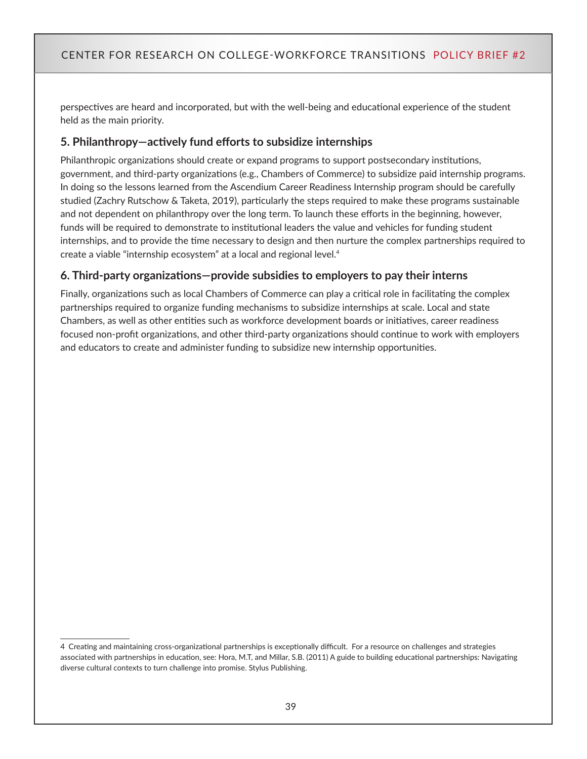perspectives are heard and incorporated, but with the well-being and educational experience of the student held as the main priority.

#### **5. Philanthropy—actively fund efforts to subsidize internships**

Philanthropic organizations should create or expand programs to support postsecondary institutions, government, and third-party organizations (e.g., Chambers of Commerce) to subsidize paid internship programs. In doing so the lessons learned from the Ascendium Career Readiness Internship program should be carefully studied (Zachry Rutschow & Taketa, 2019), particularly the steps required to make these programs sustainable and not dependent on philanthropy over the long term. To launch these efforts in the beginning, however, funds will be required to demonstrate to institutional leaders the value and vehicles for funding student internships, and to provide the time necessary to design and then nurture the complex partnerships required to create a viable "internship ecosystem" at a local and regional level.<sup>4</sup>

### **6. Third-party organizations—provide subsidies to employers to pay their interns**

Finally, organizations such as local Chambers of Commerce can play a critical role in facilitating the complex partnerships required to organize funding mechanisms to subsidize internships at scale. Local and state Chambers, as well as other entities such as workforce development boards or initiatives, career readiness focused non-profit organizations, and other third-party organizations should continue to work with employers and educators to create and administer funding to subsidize new internship opportunities.

<sup>4</sup> Creating and maintaining cross-organizational partnerships is exceptionally difficult. For a resource on challenges and strategies associated with partnerships in education, see: Hora, M.T, and Millar, S.B. (2011) A guide to building educational partnerships: Navigating diverse cultural contexts to turn challenge into promise. Stylus Publishing.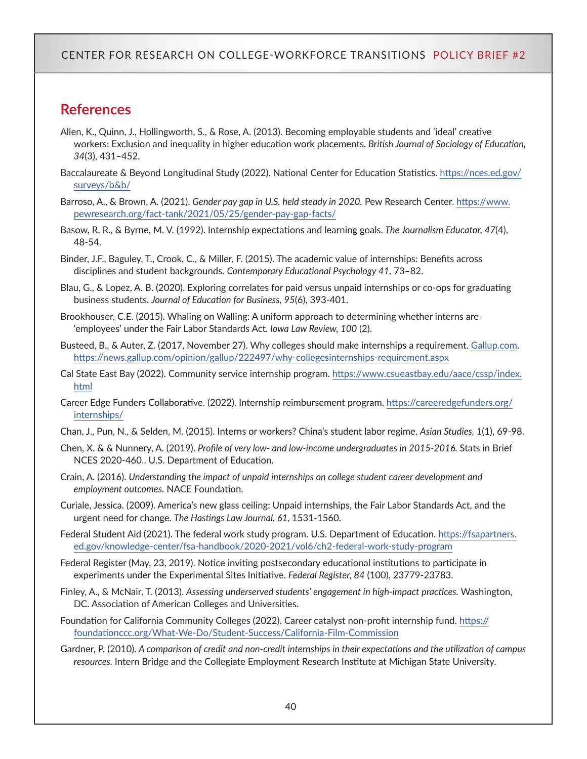## <span id="page-39-0"></span>**References**

- Allen, K., Quinn, J., Hollingworth, S., & Rose, A. (2013). Becoming employable students and 'ideal' creative workers: Exclusion and inequality in higher education work placements. *British Journal of Sociology of Education, 34*(3), 431–452.
- Baccalaureate & Beyond Longitudinal Study (2022). National Center for Education Statistics. [https://nces.ed.gov/](https://nces.ed.gov/surveys/b&b/) [surveys/b&b/](https://nces.ed.gov/surveys/b&b/)
- Barroso, A., & Brown, A. (2021). *Gender pay gap in U.S. held steady in 2020.* Pew Research Center. [https://www.](https://www.pewresearch.org/fact-tank/2021/05/25/gender-pay-gap-facts/) [pewresearch.org/fact-tank/2021/05/25/gender-pay-gap-facts/](https://www.pewresearch.org/fact-tank/2021/05/25/gender-pay-gap-facts/)
- Basow, R. R., & Byrne, M. V. (1992). Internship expectations and learning goals. *The Journalism Educator, 47*(4), 48-54.
- Binder, J.F., Baguley, T., Crook, C., & Miller, F. (2015). The academic value of internships: Benefits across disciplines and student backgrounds. *Contemporary Educational Psychology 41,* 73–82.
- Blau, G., & Lopez, A. B. (2020). Exploring correlates for paid versus unpaid internships or co-ops for graduating business students. *Journal of Education for Business, 95*(6), 393-401.
- Brookhouser, C.E. (2015). Whaling on Walling: A uniform approach to determining whether interns are 'employees' under the Fair Labor Standards Act*. Iowa Law Review, 100* (2).
- Busteed, B., & Auter, Z. (2017, November 27). Why colleges should make internships a requirement. [Gallup.com](http://Gallup.com). <https://news.gallup.com/opinion/gallup/222497/why-collegesinternships-requirement.aspx>
- Cal State East Bay (2022). Community service internship program. [https://www.csueastbay.edu/aace/cssp/index.](https://www.csueastbay.edu/aace/cssp/index.html) [html](https://www.csueastbay.edu/aace/cssp/index.html)
- Career Edge Funders Collaborative. (2022). Internship reimbursement program. [https://careeredgefunders.org/](https://careeredgefunders.org/internships/) [internships/](https://careeredgefunders.org/internships/)
- Chan, J., Pun, N., & Selden, M. (2015). Interns or workers? China's student labor regime. *Asian Studies, 1*(1), 69-98.
- Chen, X. & & Nunnery, A. (2019). *Profile of very low- and low-income undergraduates in 2015-2016.* Stats in Brief NCES 2020-460.. U.S. Department of Education.
- Crain, A. (2016). *Understanding the impact of unpaid internships on college student career development and employment outcomes.* NACE Foundation.
- Curiale, Jessica. (2009). America's new glass ceiling: Unpaid internships, the Fair Labor Standards Act, and the urgent need for change. *The Hastings Law Journal, 61,* 1531-1560.
- Federal Student Aid (2021). The federal work study program. U.S. Department of Education. [https://fsapartners.](https://fsapartners.ed.gov/knowledge-center/fsa-handbook/2020-2021/vol6/ch2-federal-work-study-program) [ed.gov/knowledge-center/fsa-handbook/2020-2021/vol6/ch2-federal-work-study-program](https://fsapartners.ed.gov/knowledge-center/fsa-handbook/2020-2021/vol6/ch2-federal-work-study-program)
- Federal Register (May, 23, 2019). Notice inviting postsecondary educational institutions to participate in experiments under the Experimental Sites Initiative. *Federal Register, 84* (100), 23779-23783.
- Finley, A., & McNair, T. (2013). *Assessing underserved students' engagement in high-impact practices.* Washington, DC. Association of American Colleges and Universities.
- Foundation for California Community Colleges (2022). Career catalyst non-profit internship fund. [https://](https://foundationccc.org/What-We-Do/Student-Success/California-Film-Commission) [foundationccc.org/What-We-Do/Student-Success/California-Film-Commission](https://foundationccc.org/What-We-Do/Student-Success/California-Film-Commission)
- Gardner, P. (2010). *A comparison of credit and non-credit internships in their expectations and the utilization of campus resources.* Intern Bridge and the Collegiate Employment Research Institute at Michigan State University.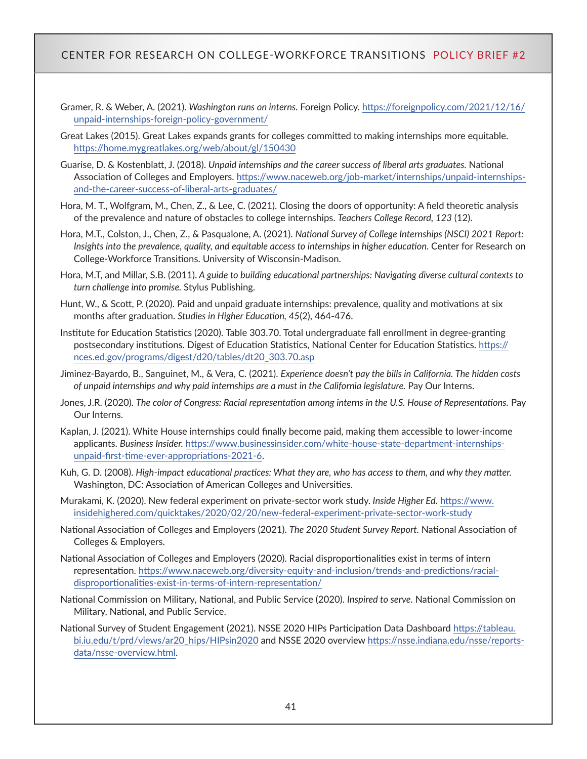- Gramer, R. & Weber, A. (2021). *Washington runs on interns.* Foreign Policy. [https://foreignpolicy.com/2021/12/16/](https://foreignpolicy.com/2021/12/16/unpaid-internships-foreign-policy-government/) [unpaid-internships-foreign-policy-government/](https://foreignpolicy.com/2021/12/16/unpaid-internships-foreign-policy-government/)
- Great Lakes (2015). Great Lakes expands grants for colleges committed to making internships more equitable. <https://home.mygreatlakes.org/web/about/gl/150430>
- Guarise, D. & Kostenblatt, J. (2018). *Unpaid internships and the career success of liberal arts graduates.* National Association of Colleges and Employers. [https://www.naceweb.org/job-market/internships/unpaid-internships](https://www.naceweb.org/job-market/internships/unpaid-internships-and-the-career-success-of-liberal-arts-graduates/)[and-the-career-success-of-liberal-arts-graduates/](https://www.naceweb.org/job-market/internships/unpaid-internships-and-the-career-success-of-liberal-arts-graduates/)
- Hora, M. T., Wolfgram, M., Chen, Z., & Lee, C. (2021). Closing the doors of opportunity: A field theoretic analysis of the prevalence and nature of obstacles to college internships. *Teachers College Record, 123* (12).
- Hora, M.T., Colston, J., Chen, Z., & Pasqualone, A. (2021). *National Survey of College Internships (NSCI) 2021 Report: Insights into the prevalence, quality, and equitable access to internships in higher education. Center for Research on* College-Workforce Transitions. University of Wisconsin-Madison.
- Hora, M.T, and Millar, S.B. (2011). *A guide to building educational partnerships: Navigating diverse cultural contexts to turn challenge into promise.* Stylus Publishing.
- Hunt, W., & Scott, P. (2020). Paid and unpaid graduate internships: prevalence, quality and motivations at six months after graduation. *Studies in Higher Education, 45*(2), 464-476.
- Institute for Education Statistics (2020). Table 303.70. Total undergraduate fall enrollment in degree-granting postsecondary institutions. Digest of Education Statistics, National Center for Education Statistics. [https://](https://nces.ed.gov/programs/digest/d20/tables/dt20_303.70.asp) [nces.ed.gov/programs/digest/d20/tables/dt20\\_303.70.asp](https://nces.ed.gov/programs/digest/d20/tables/dt20_303.70.asp)
- Jiminez-Bayardo, B., Sanguinet, M., & Vera, C. (2021). *Experience doesn't pay the bills in California. The hidden costs of unpaid internships and why paid internships are a must in the California legislature.* Pay Our Interns.
- Jones, J.R. (2020). *The color of Congress: Racial representation among interns in the U.S. House of Representations.* Pay Our Interns.
- Kaplan, J. (2021). White House internships could finally become paid, making them accessible to lower-income applicants. *Business Insider.* [https://www.businessinsider.com/white-house-state-department-internships](https://www.businessinsider.com/white-house-state-department-internships-unpaid-first-time-ever-appropriations-2021-6)[unpaid-first-time-ever-appropriations-2021-6](https://www.businessinsider.com/white-house-state-department-internships-unpaid-first-time-ever-appropriations-2021-6).
- Kuh, G. D. (2008). *High-impact educational practices: What they are, who has access to them, and why they matter.* Washington, DC: Association of American Colleges and Universities.
- Murakami, K. (2020). New federal experiment on private-sector work study. *Inside Higher Ed.* [https://www.](https://www.insidehighered.com/quicktakes/2020/02/20/new-federal-experiment-private-sector-work-study) [insidehighered.com/quicktakes/2020/02/20/new-federal-experiment-private-sector-work-study](https://www.insidehighered.com/quicktakes/2020/02/20/new-federal-experiment-private-sector-work-study)
- National Association of Colleges and Employers (2021). *The 2020 Student Survey Report.* National Association of Colleges & Employers.
- National Association of Colleges and Employers (2020). Racial disproportionalities exist in terms of intern representation. [https://www.naceweb.org/diversity-equity-and-inclusion/trends-and-predictions/racial](https://www.naceweb.org/diversity-equity-and-inclusion/trends-and-predictions/racial-disproportionalities-exist-in-terms-of-intern-representation/)[disproportionalities-exist-in-terms-of-intern-representation/](https://www.naceweb.org/diversity-equity-and-inclusion/trends-and-predictions/racial-disproportionalities-exist-in-terms-of-intern-representation/)
- National Commission on Military, National, and Public Service (2020). *Inspired to serve.* National Commission on Military, National, and Public Service.
- National Survey of Student Engagement (2021). NSSE 2020 HIPs Participation Data Dashboard [https://tableau.](https://tableau.bi.iu.edu/t/prd/views/ar20_hips/HIPsin2020) [bi.iu.edu/t/prd/views/ar20\\_hips/HIPsin2020](https://tableau.bi.iu.edu/t/prd/views/ar20_hips/HIPsin2020) and NSSE 2020 overview [https://nsse.indiana.edu/nsse/reports](https://nsse.indiana.edu/nsse/reports-data/nsse-overview.html)[data/nsse-overview.html](https://nsse.indiana.edu/nsse/reports-data/nsse-overview.html).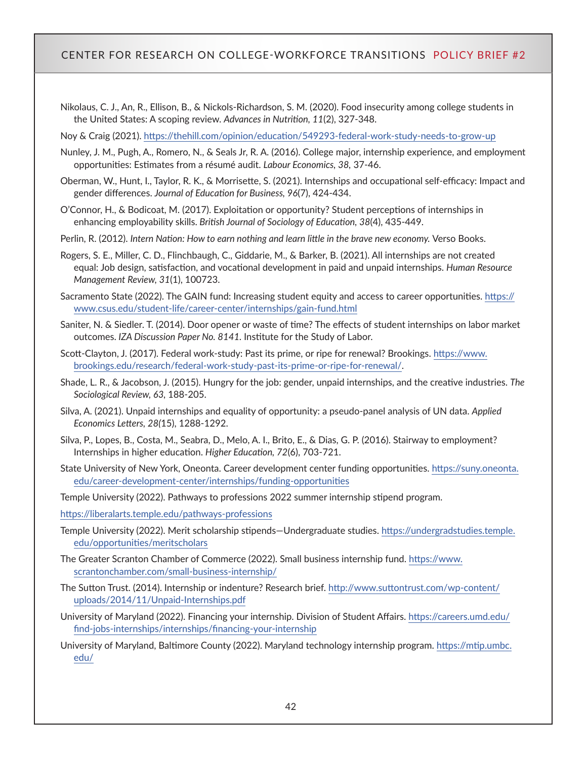Nikolaus, C. J., An, R., Ellison, B., & Nickols-Richardson, S. M. (2020). Food insecurity among college students in the United States: A scoping review. *Advances in Nutrition, 11*(2), 327-348.

Noy & Craig (2021).<https://thehill.com/opinion/education/549293-federal-work-study-needs-to-grow-up>

- Nunley, J. M., Pugh, A., Romero, N., & Seals Jr, R. A. (2016). College major, internship experience, and employment opportunities: Estimates from a résumé audit. *Labour Economics, 38,* 37-46.
- Oberman, W., Hunt, I., Taylor, R. K., & Morrisette, S. (2021). Internships and occupational self-efficacy: Impact and gender differences. *Journal of Education for Business, 96*(7), 424-434.
- O'Connor, H., & Bodicoat, M. (2017). Exploitation or opportunity? Student perceptions of internships in enhancing employability skills. *British Journal of Sociology of Education, 38*(4), 435-449.
- Perlin, R. (2012). *Intern Nation: How to earn nothing and learn little in the brave new economy.* Verso Books.
- Rogers, S. E., Miller, C. D., Flinchbaugh, C., Giddarie, M., & Barker, B. (2021). All internships are not created equal: Job design, satisfaction, and vocational development in paid and unpaid internships. *Human Resource Management Review, 31*(1), 100723.
- Sacramento State (2022). The GAIN fund: Increasing student equity and access to career opportunities. [https://](https://www.csus.edu/student-life/career-center/internships/gain-fund.html) [www.csus.edu/student-life/career-center/internships/gain-fund.html](https://www.csus.edu/student-life/career-center/internships/gain-fund.html)
- Saniter, N. & Siedler. T. (2014). Door opener or waste of time? The effects of student internships on labor market outcomes. *IZA Discussion Paper No. 8141.* Institute for the Study of Labor.
- Scott-Clayton, J. (2017). Federal work-study: Past its prime, or ripe for renewal? Brookings. [https://www.](https://www.brookings.edu/research/federal-work-study-past-its-prime-or-ripe-for-renewal/) [brookings.edu/research/federal-work-study-past-its-prime-or-ripe-for-renewal/](https://www.brookings.edu/research/federal-work-study-past-its-prime-or-ripe-for-renewal/).
- Shade, L. R., & Jacobson, J. (2015). Hungry for the job: gender, unpaid internships, and the creative industries. *The Sociological Review, 63,* 188-205.
- Silva, A. (2021). Unpaid internships and equality of opportunity: a pseudo-panel analysis of UN data. *Applied Economics Letters, 28(*15), 1288-1292.
- Silva, P., Lopes, B., Costa, M., Seabra, D., Melo, A. I., Brito, E., & Dias, G. P. (2016). Stairway to employment? Internships in higher education. *Higher Education, 72*(6), 703-721.
- State University of New York, Oneonta. Career development center funding opportunities. [https://suny.oneonta.](https://suny.oneonta.edu/career-development-center/internships/funding-opportunities) [edu/career-development-center/internships/funding-opportunities](https://suny.oneonta.edu/career-development-center/internships/funding-opportunities)

Temple University (2022). Pathways to professions 2022 summer internship stipend program.

- <https://liberalarts.temple.edu/pathways-professions>
- Temple University (2022). Merit scholarship stipends—Undergraduate studies. [https://undergradstudies.temple.](https://undergradstudies.temple.edu/opportunities/meritscholars) [edu/opportunities/meritscholars](https://undergradstudies.temple.edu/opportunities/meritscholars)
- The Greater Scranton Chamber of Commerce (2022). Small business internship fund. [https://www.](https://www.scrantonchamber.com/small-business-internship/) [scrantonchamber.com/small-business-internship/](https://www.scrantonchamber.com/small-business-internship/)
- The Sutton Trust. (2014). Internship or indenture? Research brief. [http://www.suttontrust.com/wp-content/](http://www.suttontrust.com/wp-content/uploads/2014/11/Unpaid-Internships.pdf) [uploads/2014/11/Unpaid-Internships.pdf](http://www.suttontrust.com/wp-content/uploads/2014/11/Unpaid-Internships.pdf)
- University of Maryland (2022). Financing your internship. Division of Student Affairs. [https://careers.umd.edu/](https://careers.umd.edu/find-jobs-internships/internships/financing-your-internship) [find-jobs-internships/internships/financing-your-internship](https://careers.umd.edu/find-jobs-internships/internships/financing-your-internship)
- University of Maryland, Baltimore County (2022). Maryland technology internship program. [https://mtip.umbc.](https://mtip.umbc.edu/) [edu/](https://mtip.umbc.edu/)